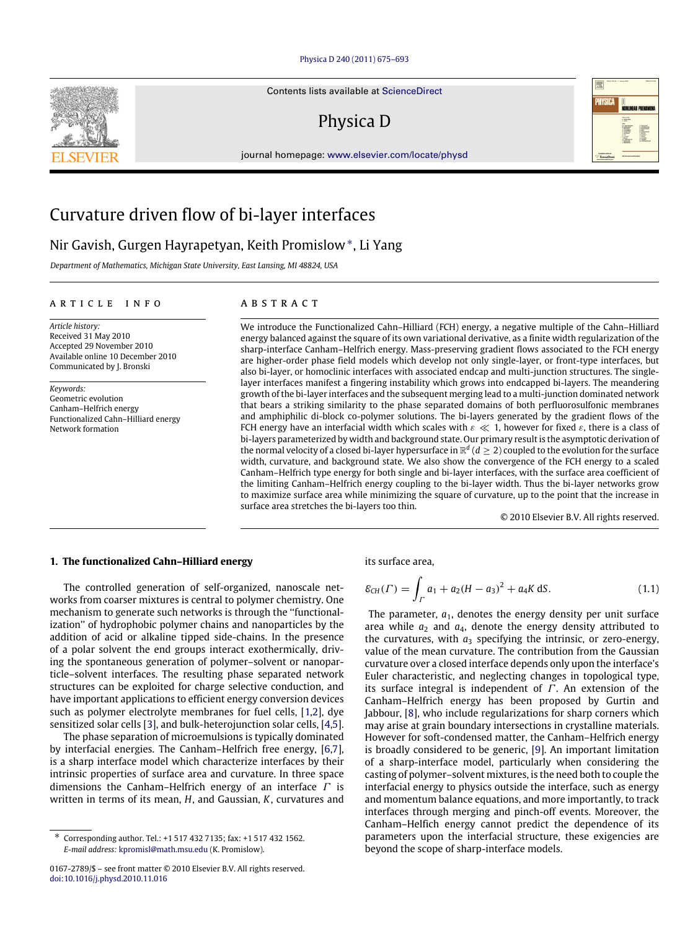#### [Physica D 240 \(2011\) 675–693](http://dx.doi.org/10.1016/j.physd.2010.11.016)

Contents lists available at [ScienceDirect](http://www.elsevier.com/locate/physd)

## Physica D

journal homepage: [www.elsevier.com/locate/physd](http://www.elsevier.com/locate/physd)



# Curvature driven flow of bi-layer interfaces

## Nir Gavish, Gurgen Hayrapetyan, Keith Promislow[∗](#page-0-0) , Li Yang

*Department of Mathematics, Michigan State University, East Lansing, MI 48824, USA*

## a r t i c l e i n f o

*Article history:* Received 31 May 2010 Accepted 29 November 2010 Available online 10 December 2010 Communicated by J. Bronski

*Keywords:* Geometric evolution Canham–Helfrich energy Functionalized Cahn–Hilliard energy Network formation

## A B S T R A C T

We introduce the Functionalized Cahn–Hilliard (FCH) energy, a negative multiple of the Cahn–Hilliard energy balanced against the square of its own variational derivative, as a finite width regularization of the sharp-interface Canham–Helfrich energy. Mass-preserving gradient flows associated to the FCH energy are higher-order phase field models which develop not only single-layer, or front-type interfaces, but also bi-layer, or homoclinic interfaces with associated endcap and multi-junction structures. The singlelayer interfaces manifest a fingering instability which grows into endcapped bi-layers. The meandering growth of the bi-layer interfaces and the subsequent merging lead to a multi-junction dominated network that bears a striking similarity to the phase separated domains of both perfluorosulfonic membranes and amphiphilic di-block co-polymer solutions. The bi-layers generated by the gradient flows of the FCH energy have an interfacial width which scales with  $\varepsilon \ll 1$ , however for fixed  $\varepsilon$ , there is a class of bi-layers parameterized by width and background state. Our primary result is the asymptotic derivation of the normal velocity of a closed bi-layer hypersurface in  $\mathbb{R}^d$  ( $d\geq 2$ ) coupled to the evolution for the surface width, curvature, and background state. We also show the convergence of the FCH energy to a scaled Canham–Helfrich type energy for both single and bi-layer interfaces, with the surface area coefficient of the limiting Canham–Helfrich energy coupling to the bi-layer width. Thus the bi-layer networks grow to maximize surface area while minimizing the square of curvature, up to the point that the increase in surface area stretches the bi-layers too thin.

<span id="page-0-1"></span>© 2010 Elsevier B.V. All rights reserved.

## **1. The functionalized Cahn–Hilliard energy**

The controlled generation of self-organized, nanoscale networks from coarser mixtures is central to polymer chemistry. One mechanism to generate such networks is through the ''functionalization'' of hydrophobic polymer chains and nanoparticles by the addition of acid or alkaline tipped side-chains. In the presence of a polar solvent the end groups interact exothermically, driving the spontaneous generation of polymer–solvent or nanoparticle–solvent interfaces. The resulting phase separated network structures can be exploited for charge selective conduction, and have important applications to efficient energy conversion devices such as polymer electrolyte membranes for fuel cells, [\[1,](#page-18-0)[2\]](#page-18-1), dye sensitized solar cells [\[3\]](#page-18-2), and bulk-heterojunction solar cells, [\[4,](#page-18-3)[5\]](#page-18-4).

The phase separation of microemulsions is typically dominated by interfacial energies. The Canham–Helfrich free energy, [\[6,](#page-18-5)[7\]](#page-18-6), is a sharp interface model which characterize interfaces by their intrinsic properties of surface area and curvature. In three space dimensions the Canham–Helfrich energy of an interface  $\Gamma$  is written in terms of its mean, *H*, and Gaussian, *K*, curvatures and its surface area,

$$
\mathcal{E}_{CH}(\Gamma) = \int_{\Gamma} a_1 + a_2 (H - a_3)^2 + a_4 K \, \text{d}S. \tag{1.1}
$$

The parameter,  $a_1$ , denotes the energy density per unit surface area while  $a_2$  and  $a_4$ , denote the energy density attributed to the curvatures, with  $a_3$  specifying the intrinsic, or zero-energy, value of the mean curvature. The contribution from the Gaussian curvature over a closed interface depends only upon the interface's Euler characteristic, and neglecting changes in topological type, its surface integral is independent of  $\Gamma$ . An extension of the Canham–Helfrich energy has been proposed by Gurtin and Jabbour, [\[8\]](#page-18-7), who include regularizations for sharp corners which may arise at grain boundary intersections in crystalline materials. However for soft-condensed matter, the Canham–Helfrich energy is broadly considered to be generic, [\[9\]](#page-18-8). An important limitation of a sharp-interface model, particularly when considering the casting of polymer–solvent mixtures, is the need both to couple the interfacial energy to physics outside the interface, such as energy and momentum balance equations, and more importantly, to track interfaces through merging and pinch-off events. Moreover, the Canham–Helfich energy cannot predict the dependence of its parameters upon the interfacial structure, these exigencies are beyond the scope of sharp-interface models.



<span id="page-0-0"></span><sup>∗</sup> Corresponding author. Tel.: +1 517 432 7135; fax: +1 517 432 1562. *E-mail address:* [kpromisl@math.msu.edu](mailto:kpromisl@math.msu.edu) (K. Promislow).

<sup>0167-2789/\$ –</sup> see front matter © 2010 Elsevier B.V. All rights reserved. [doi:10.1016/j.physd.2010.11.016](http://dx.doi.org/10.1016/j.physd.2010.11.016)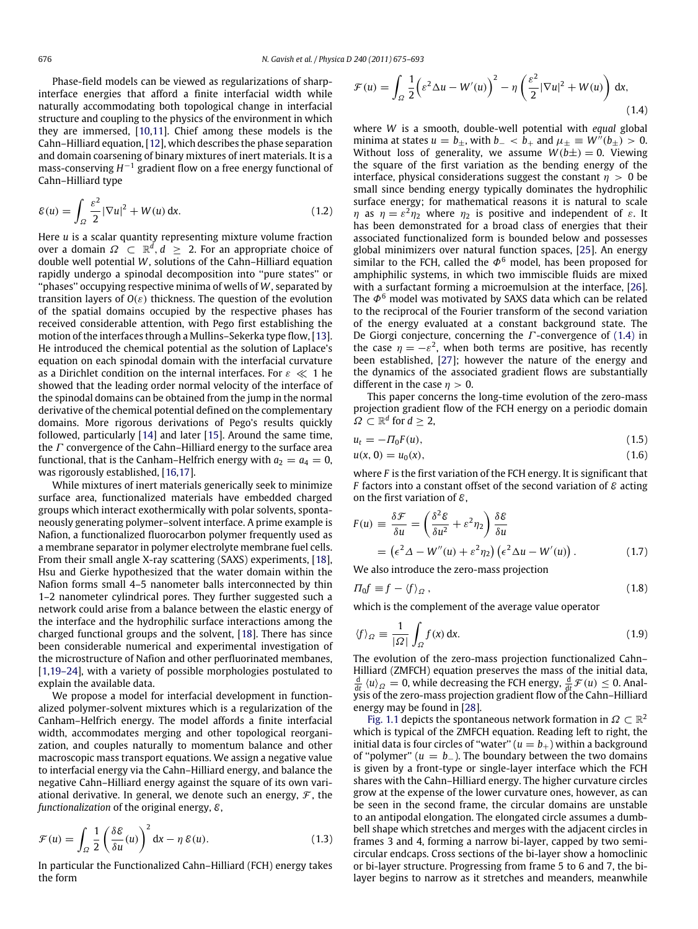Phase-field models can be viewed as regularizations of sharpinterface energies that afford a finite interfacial width while naturally accommodating both topological change in interfacial structure and coupling to the physics of the environment in which they are immersed, [\[10](#page-18-9)[,11\]](#page-18-10). Chief among these models is the Cahn–Hilliard equation, [\[12\]](#page-18-11), which describes the phase separation and domain coarsening of binary mixtures of inert materials. It is a mass-conserving H<sup>−1</sup> gradient flow on a free energy functional of Cahn–Hilliard type

$$
\mathcal{E}(u) = \int_{\Omega} \frac{\varepsilon^2}{2} |\nabla u|^2 + W(u) \, \mathrm{d}x. \tag{1.2}
$$

Here *u* is a scalar quantity representing mixture volume fraction over a domain  $\varOmega\;\subset\;\mathbb{R}^d, d\;\geq\;$  2. For an appropriate choice of double well potential *W*, solutions of the Cahn–Hilliard equation rapidly undergo a spinodal decomposition into ''pure states'' or ''phases'' occupying respective minima of wells of *W*, separated by transition layers of  $O(\varepsilon)$  thickness. The question of the evolution of the spatial domains occupied by the respective phases has received considerable attention, with Pego first establishing the motion of the interfaces through a Mullins–Sekerka type flow, [\[13\]](#page-18-12). He introduced the chemical potential as the solution of Laplace's equation on each spinodal domain with the interfacial curvature as a Dirichlet condition on the internal interfaces. For  $\varepsilon \ll 1$  he showed that the leading order normal velocity of the interface of the spinodal domains can be obtained from the jump in the normal derivative of the chemical potential defined on the complementary domains. More rigorous derivations of Pego's results quickly followed, particularly [\[14\]](#page-18-13) and later [\[15\]](#page-18-14). Around the same time, the  $\Gamma$  convergence of the Cahn–Hilliard energy to the surface area functional, that is the Canham–Helfrich energy with  $a_2 = a_4 = 0$ , was rigorously established, [\[16,](#page-18-15)[17\]](#page-18-16).

While mixtures of inert materials generically seek to minimize surface area, functionalized materials have embedded charged groups which interact exothermically with polar solvents, spontaneously generating polymer–solvent interface. A prime example is Nafion, a functionalized fluorocarbon polymer frequently used as a membrane separator in polymer electrolyte membrane fuel cells. From their small angle X-ray scattering (SAXS) experiments, [\[18\]](#page-18-17), Hsu and Gierke hypothesized that the water domain within the Nafion forms small 4–5 nanometer balls interconnected by thin 1–2 nanometer cylindrical pores. They further suggested such a network could arise from a balance between the elastic energy of the interface and the hydrophilic surface interactions among the charged functional groups and the solvent, [\[18\]](#page-18-17). There has since been considerable numerical and experimental investigation of the microstructure of Nafion and other perfluorinated membanes, [\[1](#page-18-0)[,19–24\]](#page-18-18), with a variety of possible morphologies postulated to explain the available data.

We propose a model for interfacial development in functionalized polymer-solvent mixtures which is a regularization of the Canham–Helfrich energy. The model affords a finite interfacial width, accommodates merging and other topological reorganization, and couples naturally to momentum balance and other macroscopic mass transport equations. We assign a negative value to interfacial energy via the Cahn–Hilliard energy, and balance the negative Cahn–Hilliard energy against the square of its own variational derivative. In general, we denote such an energy,  $\mathcal{F}$ , the *functionalization* of the original energy, E,

$$
\mathcal{F}(u) = \int_{\Omega} \frac{1}{2} \left( \frac{\delta \mathcal{E}}{\delta u}(u) \right)^2 dx - \eta \mathcal{E}(u).
$$
 (1.3)

In particular the Functionalized Cahn–Hilliard (FCH) energy takes the form

$$
\mathcal{F}(u) = \int_{\Omega} \frac{1}{2} \left( \varepsilon^2 \Delta u - W'(u) \right)^2 - \eta \left( \frac{\varepsilon^2}{2} |\nabla u|^2 + W(u) \right) dx,
$$
\n(1.4)

<span id="page-1-0"></span>where *W* is a smooth, double-well potential with *equal* global minima at states  $u = b_+$ , with  $b_- < b_+$  and  $\mu_+ \equiv W''(b_+) > 0$ . Without loss of generality, we assume  $W(b\pm) = 0$ . Viewing the square of the first variation as the bending energy of the interface, physical considerations suggest the constant  $\eta > 0$  be small since bending energy typically dominates the hydrophilic surface energy; for mathematical reasons it is natural to scale *η* as  $\eta = \varepsilon^2 \eta_2$  where  $\eta_2$  is positive and independent of  $\varepsilon$ . It has been demonstrated for a broad class of energies that their associated functionalized form is bounded below and possesses global minimizers over natural function spaces, [\[25\]](#page-18-19). An energy similar to the FCH, called the  $\Phi^6$  model, has been proposed for amphiphilic systems, in which two immiscible fluids are mixed with a surfactant forming a microemulsion at the interface, [\[26\]](#page-18-20). The  $\Phi^6$  model was motivated by SAXS data which can be related to the reciprocal of the Fourier transform of the second variation of the energy evaluated at a constant background state. The De Giorgi conjecture, concerning the  $\Gamma$ -convergence of [\(1.4\)](#page-1-0) in the case  $\eta = -\varepsilon^2$ , when both terms are positive, has recently been established, [\[27\]](#page-18-21); however the nature of the energy and the dynamics of the associated gradient flows are substantially different in the case  $\eta > 0$ .

This paper concerns the long-time evolution of the zero-mass projection gradient flow of the FCH energy on a periodic domain  $\Omega \subset \mathbb{R}^d$  for  $d \geq 2$ ,

<span id="page-1-1"></span>
$$
u_t = -\Pi_0 F(u),\tag{1.5}
$$

$$
u(x, 0) = u_0(x), \tag{1.6}
$$

where *F* is the first variation of the FCH energy. It is significant that *F* factors into a constant offset of the second variation of  $\varepsilon$  acting on the first variation of  $\varepsilon$ ,

$$
F(u) = \frac{\delta \mathcal{F}}{\delta u} = \left(\frac{\delta^2 \mathcal{E}}{\delta u^2} + \varepsilon^2 \eta_2\right) \frac{\delta \mathcal{E}}{\delta u}
$$
  
= 
$$
\left(\varepsilon^2 \Delta - W''(u) + \varepsilon^2 \eta_2\right) \left(\varepsilon^2 \Delta u - W'(u)\right).
$$
 (1.7)

<span id="page-1-2"></span>We also introduce the zero-mass projection

$$
\Pi_0 f \equiv f - \langle f \rangle_{\Omega} \,, \tag{1.8}
$$

which is the complement of the average value operator

$$
\langle f \rangle_{\Omega} \equiv \frac{1}{|\Omega|} \int_{\Omega} f(x) \, \mathrm{d}x. \tag{1.9}
$$

The evolution of the zero-mass projection functionalized Cahn– Hilliard (ZMFCH) equation preserves the mass of the initial data,  $\frac{d}{dt}$   $\langle u \rangle_{\Omega} = 0$ , while decreasing the FCH energy,  $\frac{d}{dt}$   $\mathcal{F}(u) \leq 0$ . Analysis of the zero-mass projection gradient flow of the Cahn–Hilliard energy may be found in [\[28\]](#page-18-22).

[Fig. 1.1](#page-2-0) depicts the spontaneous network formation in  $\Omega \subset \mathbb{R}^2$ which is typical of the ZMFCH equation. Reading left to right, the initial data is four circles of "water"  $(u = b<sub>+</sub>)$  within a background of "polymer"  $(u = b_$ ). The boundary between the two domains is given by a front-type or single-layer interface which the FCH shares with the Cahn–Hilliard energy. The higher curvature circles grow at the expense of the lower curvature ones, however, as can be seen in the second frame, the circular domains are unstable to an antipodal elongation. The elongated circle assumes a dumbbell shape which stretches and merges with the adjacent circles in frames 3 and 4, forming a narrow bi-layer, capped by two semicircular endcaps. Cross sections of the bi-layer show a homoclinic or bi-layer structure. Progressing from frame 5 to 6 and 7, the bilayer begins to narrow as it stretches and meanders, meanwhile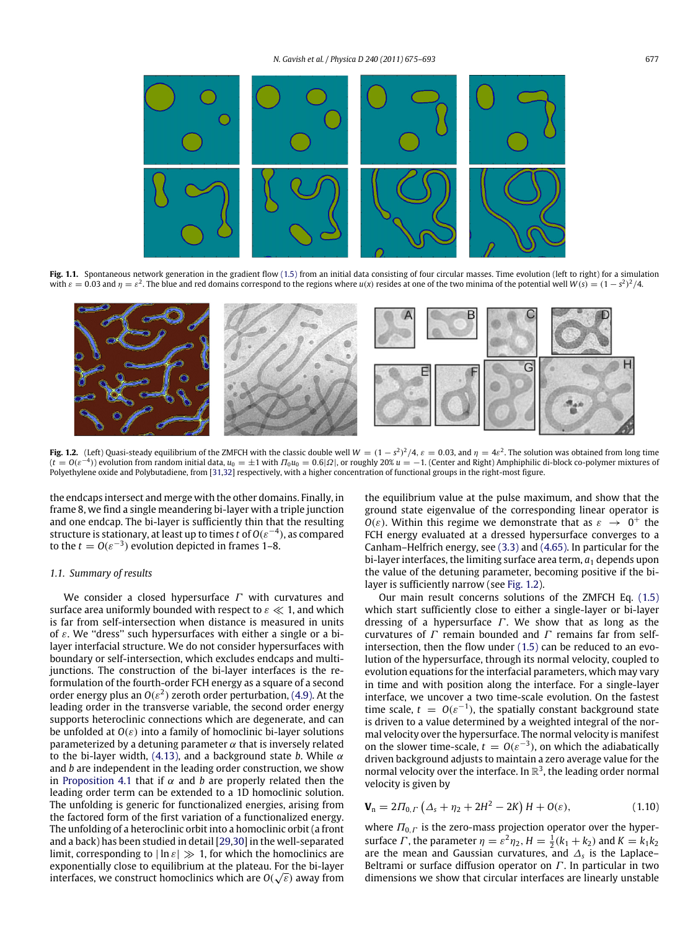<span id="page-2-0"></span>

Fig. 1.1. Spontaneous network generation in the gradient flow [\(1.5\)](#page-1-1) from an initial data consisting of four circular masses. Time evolution (left to right) for a simulation with  $\varepsilon = 0.03$  and  $\eta = \varepsilon^2$ . The blue and red domains correspond to the regions where  $u(x)$  resides at one of the two minima of the potential well  $W(s) = (1 - s^2)^2/4$ .

<span id="page-2-1"></span>

**Fig. 1.2.** (Left) Quasi-steady equilibrium of the ZMFCH with the classic double well  $W = (1 - s^2)^2/4$ ,  $\varepsilon = 0.03$ , and  $\eta = 4\varepsilon^2$ . The solution was obtained from long time ( $t = O(\varepsilon^{-4})$ ) evolution from random initial data,  $u_0 = \pm 1$  with  $\Pi_0 u_0 = 0.6$ |Ω|, or roughly 20%  $u = -1$ . (Center and Right) Amphiphilic di-block co-polymer mixtures of Polyethylene oxide and Polybutadiene, from [\[31,](#page-18-23)[32\]](#page-18-24) respectively, with a higher concentration of functional groups in the right-most figure.

the endcaps intersect and merge with the other domains. Finally, in frame 8, we find a single meandering bi-layer with a triple junction and one endcap. The bi-layer is sufficiently thin that the resulting structure is stationary, at least up to times *t* of *O*(ε<sup>−</sup><sup>4</sup> ), as compared to the  $t = O(\varepsilon^{-3})$  evolution depicted in frames 1–8.

## *1.1. Summary of results*

We consider a closed hypersurface  $\Gamma$  with curvatures and surface area uniformly bounded with respect to  $\varepsilon \ll 1$ , and which is far from self-intersection when distance is measured in units of  $\varepsilon$ . We "dress" such hypersurfaces with either a single or a bilayer interfacial structure. We do not consider hypersurfaces with boundary or self-intersection, which excludes endcaps and multijunctions. The construction of the bi-layer interfaces is the reformulation of the fourth-order FCH energy as a square of a second order energy plus an  $O(\varepsilon^2)$  zeroth order perturbation, [\(4.9\).](#page-7-0) At the leading order in the transverse variable, the second order energy supports heteroclinic connections which are degenerate, and can be unfolded at  $O(\varepsilon)$  into a family of homoclinic bi-layer solutions parameterized by a detuning parameter  $\alpha$  that is inversely related to the bi-layer width, [\(4.13\),](#page-8-0) and a background state *b*. While  $\alpha$ and *b* are independent in the leading order construction, we show in [Proposition 4.1](#page-10-0) that if  $\alpha$  and *b* are properly related then the leading order term can be extended to a 1D homoclinic solution. The unfolding is generic for functionalized energies, arising from the factored form of the first variation of a functionalized energy. The unfolding of a heteroclinic orbit into a homoclinic orbit (a front and a back) has been studied in detail [\[29,](#page-18-25)[30\]](#page-18-26) in the well-separated limit, corresponding to  $|\ln \varepsilon| \gg 1$ , for which the homoclinics are exponentially close to equilibrium at the plateau. For the bi-layer √ interfaces, we construct homoclinics which are  $O(\sqrt{\varepsilon})$  away from

the equilibrium value at the pulse maximum, and show that the ground state eigenvalue of the corresponding linear operator is  $O(\varepsilon)$ . Within this regime we demonstrate that as  $\varepsilon \to 0^+$  the FCH energy evaluated at a dressed hypersurface converges to a Canham–Helfrich energy, see [\(3.3\)](#page-4-0) and [\(4.65\).](#page-10-1) In particular for the bi-layer interfaces, the limiting surface area term,  $a_1$  depends upon the value of the detuning parameter, becoming positive if the bilayer is sufficiently narrow (see [Fig. 1.2\)](#page-2-1).

Our main result concerns solutions of the ZMFCH Eq. [\(1.5\)](#page-1-1) which start sufficiently close to either a single-layer or bi-layer dressing of a hypersurface  $\Gamma$ . We show that as long as the curvatures of  $\Gamma$  remain bounded and  $\Gamma$  remains far from selfintersection, then the flow under [\(1.5\)](#page-1-1) can be reduced to an evolution of the hypersurface, through its normal velocity, coupled to evolution equations for the interfacial parameters, which may vary in time and with position along the interface. For a single-layer interface, we uncover a two time-scale evolution. On the fastest time scale,  $t = O(\varepsilon^{-1})$ , the spatially constant background state is driven to a value determined by a weighted integral of the normal velocity over the hypersurface. The normal velocity is manifest on the slower time-scale,  $t = O(\varepsilon^{-3})$ , on which the adiabatically driven background adjusts to maintain a zero average value for the normal velocity over the interface. In  $\mathbb{R}^3$ , the leading order normal velocity is given by

$$
\mathbf{V}_n = 2\Pi_{0,\Gamma} \left( \Delta_s + \eta_2 + 2H^2 - 2K \right) H + O(\varepsilon), \tag{1.10}
$$

where  $\Pi_{0,\Gamma}$  is the zero-mass projection operator over the hypersurface  $\Gamma$ , the parameter  $\eta = \varepsilon^2 \eta_2$ ,  $H = \frac{1}{2}(k_1 + k_2)$  and  $K = k_1 k_2$ are the mean and Gaussian curvatures, and ∆*<sup>s</sup>* is the Laplace– Beltrami or surface diffusion operator on  $\Gamma$ . In particular in two dimensions we show that circular interfaces are linearly unstable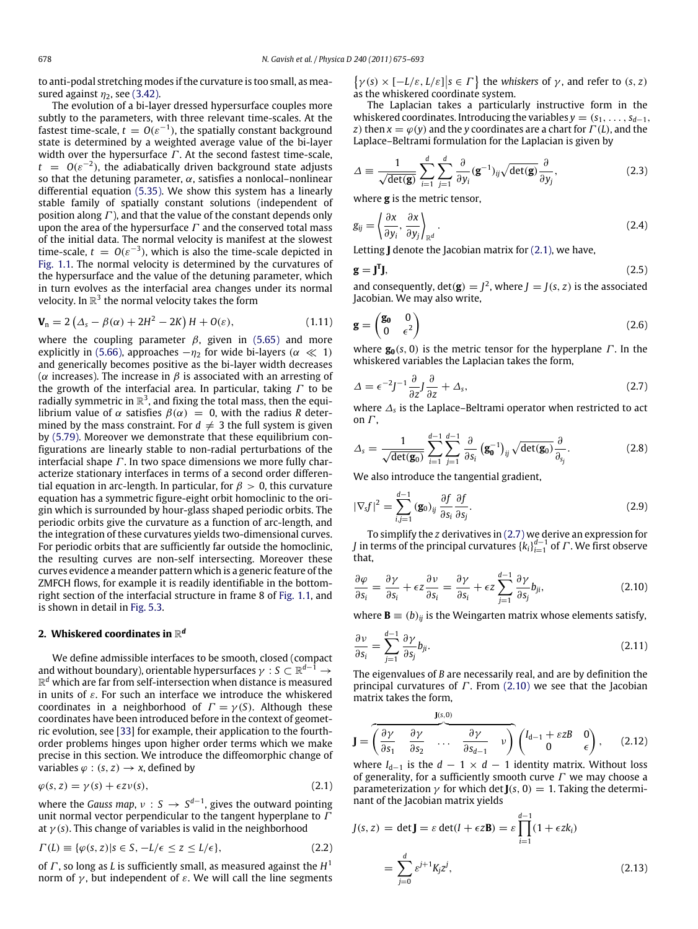to anti-podal stretching modes if the curvature is too small, as measured against  $\eta_2$ , see [\(3.42\).](#page-7-1)

The evolution of a bi-layer dressed hypersurface couples more subtly to the parameters, with three relevant time-scales. At the fastest time-scale,  $t = O(\varepsilon^{-1})$ , the spatially constant background state is determined by a weighted average value of the bi-layer width over the hypersurface  $\Gamma$ . At the second fastest time-scale,  $t = O(\varepsilon^{-2})$ , the adiabatically driven background state adjusts so that the detuning parameter,  $\alpha$ , satisfies a nonlocal–nonlinear differential equation [\(5.35\).](#page-13-0) We show this system has a linearly stable family of spatially constant solutions (independent of position along  $\Gamma$ ), and that the value of the constant depends only upon the area of the hypersurface  $\Gamma$  and the conserved total mass of the initial data. The normal velocity is manifest at the slowest time-scale,  $t = O(\varepsilon^{-3})$ , which is also the time-scale depicted in [Fig. 1.1.](#page-2-0) The normal velocity is determined by the curvatures of the hypersurface and the value of the detuning parameter, which in turn evolves as the interfacial area changes under its normal velocity. In  $\mathbb{R}^3$  the normal velocity takes the form

$$
\mathbf{V}_{n} = 2\left(\Delta_{s} - \beta(\alpha) + 2H^{2} - 2K\right)H + O(\varepsilon),\tag{1.11}
$$

where the coupling parameter  $\beta$ , given in [\(5.65\)](#page-15-0) and more explicitly in [\(5.66\),](#page-15-1) approaches  $-\eta_2$  for wide bi-layers ( $\alpha \ll 1$ ) and generically becomes positive as the bi-layer width decreases ( $\alpha$  increases). The increase in  $\beta$  is associated with an arresting of the growth of the interfacial area. In particular, taking  $\Gamma$  to be radially symmetric in  $\mathbb{R}^3$ , and fixing the total mass, then the equilibrium value of  $\alpha$  satisfies  $\beta(\alpha) = 0$ , with the radius *R* determined by the mass constraint. For  $d \neq 3$  the full system is given by [\(5.79\).](#page-16-0) Moreover we demonstrate that these equilibrium configurations are linearly stable to non-radial perturbations of the interfacial shape  $\Gamma$ . In two space dimensions we more fully characterize stationary interfaces in terms of a second order differential equation in arc-length. In particular, for  $\beta > 0$ , this curvature equation has a symmetric figure-eight orbit homoclinic to the origin which is surrounded by hour-glass shaped periodic orbits. The periodic orbits give the curvature as a function of arc-length, and the integration of these curvatures yields two-dimensional curves. For periodic orbits that are sufficiently far outside the homoclinic, the resulting curves are non-self intersecting. Moreover these curves evidence a meander pattern which is a generic feature of the ZMFCH flows, for example it is readily identifiable in the bottomright section of the interfacial structure in frame 8 of [Fig. 1.1,](#page-2-0) and is shown in detail in [Fig. 5.3.](#page-17-0)

## **2. Whiskered coordinates in** R *d*

We define admissible interfaces to be smooth, closed (compact and without boundary), orientable hypersurfaces  $\gamma: \mathcal{S} \subset \mathbb{R}^{d-1} \to$  $\mathbb{R}^d$  which are far from self-intersection when distance is measured in units of  $\varepsilon$ . For such an interface we introduce the whiskered coordinates in a neighborhood of  $\Gamma = \gamma(S)$ . Although these coordinates have been introduced before in the context of geometric evolution, see [\[33\]](#page-18-27) for example, their application to the fourthorder problems hinges upon higher order terms which we make precise in this section. We introduce the diffeomorphic change of variables  $\varphi$  :  $(s, z) \rightarrow x$ , defined by

$$
\varphi(s, z) = \gamma(s) + \epsilon z \nu(s),\tag{2.1}
$$

<span id="page-3-0"></span>where the *Gauss map*,  $\nu : S \to S^{d-1}$ , gives the outward pointing unit normal vector perpendicular to the tangent hyperplane to  $\Gamma$ at  $\gamma$  (*s*). This change of variables is valid in the neighborhood

$$
\Gamma(L) \equiv \{ \varphi(s, z) | s \in S, -L/\epsilon \le z \le L/\epsilon \},\tag{2.2}
$$

of  $\varGamma$  , so long as  $L$  is sufficiently small, as measured against the  $H^1$ norm of  $γ$ , but independent of  $ε$ . We will call the line segments  $\left\{ \gamma(s) \times [-L/\varepsilon, L/\varepsilon] \middle| s \in \Gamma \right\}$  the *whiskers* of  $\gamma$ , and refer to  $(s, z)$ as the whiskered coordinate system.

The Laplacian takes a particularly instructive form in the whiskered coordinates. Introducing the variables  $y = (s_1, \ldots, s_{d-1},$ *z*) then  $x = \varphi(y)$  and the *y* coordinates are a chart for  $\Gamma(L)$ , and the Laplace–Beltrami formulation for the Laplacian is given by

$$
\Delta \equiv \frac{1}{\sqrt{\det(\mathbf{g})}} \sum_{i=1}^{d} \sum_{j=1}^{d} \frac{\partial}{\partial y_i} (\mathbf{g}^{-1})_{ij} \sqrt{\det(\mathbf{g})} \frac{\partial}{\partial y_j},
$$
(2.3)

where **g** is the metric tensor,

$$
g_{ij} = \left\langle \frac{\partial x}{\partial y_i}, \frac{\partial x}{\partial y_j} \right\rangle_{\mathbb{R}^d}.
$$
\n(2.4)

Letting **J** denote the Jacobian matrix for [\(2.1\),](#page-3-0) we have,

$$
\mathbf{g} = \mathbf{J}^{\mathrm{T}} \mathbf{J},\tag{2.5}
$$

and consequently,  $\det(\mathbf{g}) = J^2$ , where  $J = J(s, z)$  is the associated Jacobian. We may also write,

$$
\mathbf{g} = \begin{pmatrix} \mathbf{g_0} & 0 \\ 0 & \epsilon^2 \end{pmatrix} \tag{2.6}
$$

where  $\mathbf{g}_0(s, 0)$  is the metric tensor for the hyperplane  $\Gamma$ . In the whiskered variables the Laplacian takes the form,

<span id="page-3-1"></span>
$$
\Delta = \epsilon^{-2} J^{-1} \frac{\partial}{\partial z} J \frac{\partial}{\partial z} + \Delta_s, \tag{2.7}
$$

where ∆*<sup>s</sup>* is the Laplace–Beltrami operator when restricted to act on  $\Gamma$ .

$$
\Delta_{s} = \frac{1}{\sqrt{\det(\mathbf{g}_{0})}} \sum_{i=1}^{d-1} \sum_{j=1}^{d-1} \frac{\partial}{\partial s_{i}} (\mathbf{g}_{0}^{-1})_{ij} \sqrt{\det(\mathbf{g}_{0})} \frac{\partial}{\partial_{s_{j}}}.
$$
(2.8)

We also introduce the tangential gradient,

$$
|\nabla_{s}f|^{2} = \sum_{i,j=1}^{d-1} (\mathbf{g}_{0})_{ij} \frac{\partial f}{\partial s_{i}} \frac{\partial f}{\partial s_{j}}.
$$
 (2.9)

To simplify the *z* derivatives in [\(2.7\)](#page-3-1) we derive an expression for *J* in terms of the principal curvatures  $\{k_i\}_{i=1}^{d-1}$  of  $\varGamma$  . We first observe that,

<span id="page-3-2"></span>
$$
\frac{\partial \varphi}{\partial s_i} = \frac{\partial \gamma}{\partial s_i} + \epsilon z \frac{\partial \nu}{\partial s_i} = \frac{\partial \gamma}{\partial s_i} + \epsilon z \sum_{j=1}^{d-1} \frac{\partial \gamma}{\partial s_j} b_{ji},
$$
(2.10)

where **B**  $\equiv$  (*b*)<sub>*ii*</sub> is the Weingarten matrix whose elements satisfy,

$$
\frac{\partial v}{\partial s_i} = \sum_{j=1}^{d-1} \frac{\partial \gamma}{\partial s_j} b_{ji}.
$$
\n(2.11)

The eigenvalues of *B* are necessarily real, and are by definition the principal curvatures of  $\Gamma$ . From [\(2.10\)](#page-3-2) we see that the Jacobian matrix takes the form,

$$
\mathbf{J} = \begin{pmatrix} \frac{\mathbf{J}(s,0)}{\partial s_1} & \frac{\partial \gamma}{\partial s_2} & \cdots & \frac{\partial \gamma}{\partial s_{d-1}} & \nu \end{pmatrix} \begin{pmatrix} I_{d-1} + \varepsilon zB & 0 \\ 0 & \varepsilon \end{pmatrix}, \quad (2.12)
$$

where  $I_{d-1}$  is the  $d-1 \times d-1$  identity matrix. Without loss of generality, for a sufficiently smooth curve  $\Gamma$  we may choose a parameterization  $\gamma$  for which det **J**( $s$ , 0) = 1. Taking the determinant of the Jacobian matrix yields

<span id="page-3-3"></span>
$$
J(s, z) = \det \mathbf{J} = \varepsilon \det(I + \epsilon z \mathbf{B}) = \varepsilon \prod_{i=1}^{d-1} (1 + \epsilon z k_i)
$$

$$
= \sum_{j=0}^{d} \varepsilon^{j+1} K_j z^j,
$$
(2.13)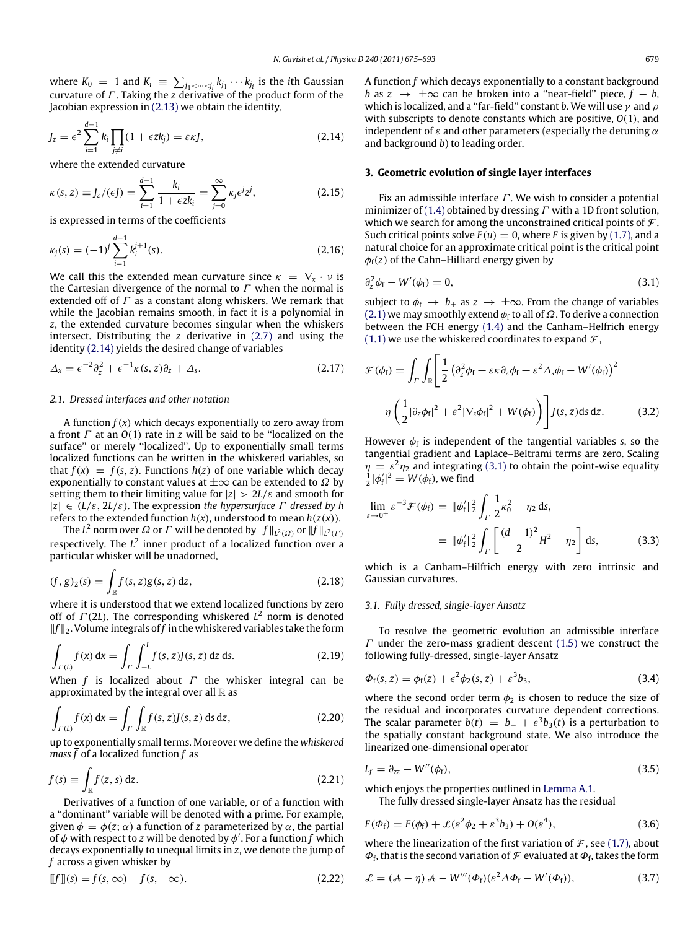where  $K_0 = 1$  and  $K_i \equiv \sum_{j_1 < \dots < j_i} k_{j_1} \cdots k_{j_i}$  is the *i*th Gaussian curvature of Γ . Taking the *z* derivative of the product form of the Jacobian expression in [\(2.13\)](#page-3-3) we obtain the identity,

$$
J_z = \epsilon^2 \sum_{i=1}^{d-1} k_i \prod_{j \neq i} (1 + \epsilon z k_j) = \epsilon \kappa J,
$$
 (2.14)

where the extended curvature

$$
\kappa(s, z) \equiv J_z/(\epsilon J) = \sum_{i=1}^{d-1} \frac{k_i}{1 + \epsilon z k_i} = \sum_{j=0}^{\infty} \kappa_j \epsilon^j z^j,
$$
 (2.15)

is expressed in terms of the coefficients

$$
\kappa_j(s) = (-1)^j \sum_{i=1}^{d-1} k_i^{j+1}(s).
$$
\n(2.16)

We call this the extended mean curvature since  $\kappa = \nabla_x \cdot \nu$  is the Cartesian divergence of the normal to  $\Gamma$  when the normal is extended off of  $\Gamma$  as a constant along whiskers. We remark that while the Jacobian remains smooth, in fact it is a polynomial in *z*, the extended curvature becomes singular when the whiskers intersect. Distributing the *z* derivative in [\(2.7\)](#page-3-1) and using the identity [\(2.14\)](#page-4-1) yields the desired change of variables

$$
\Delta_x = \epsilon^{-2} \partial_z^2 + \epsilon^{-1} \kappa(s, z) \partial_z + \Delta_s. \tag{2.17}
$$

### *2.1. Dressed interfaces and other notation*

A function  $f(x)$  which decays exponentially to zero away from a front Γ at an *O*(1) rate in *z* will be said to be ''localized on the surface'' or merely ''localized''. Up to exponentially small terms localized functions can be written in the whiskered variables, so that  $f(x) = f(s, z)$ . Functions  $h(z)$  of one variable which decay exponentially to constant values at  $\pm\infty$  can be extended to  $\Omega$  by setting them to their limiting value for  $|z| > 2L/\varepsilon$  and smooth for |*z*| ∈ (*L*/ε, 2*L*/ε). The expression *the hypersurface* Γ *dressed by h* refers to the extended function  $h(x)$ , understood to mean  $h(z(x))$ .

The  $L^2$  norm over  $\varOmega$  or  $\varGamma$  will be denoted by  $\|f\|_{L^2(\varOmega)}$  or  $\|f\|_{L^2(\varGamma)}$ respectively. The L<sup>2</sup> inner product of a localized function over a particular whisker will be unadorned,

$$
(f,g)_2(s) = \int_{\mathbb{R}} f(s,z)g(s,z) \, dz,\tag{2.18}
$$

where it is understood that we extend localized functions by zero off of Γ (2*L*). The corresponding whiskered *L* <sup>2</sup> norm is denoted ‖*f* ‖2. Volume integrals of *f* in the whiskered variables take the form

$$
\int_{\Gamma(L)} f(x) dx = \int_{\Gamma} \int_{-L}^{L} f(s, z) J(s, z) dz ds.
$$
\n(2.19)

When *f* is localized about Γ the whisker integral can be approximated by the integral over all  $\mathbb R$  as

$$
\int_{\Gamma(L)} f(x) dx = \int_{\Gamma} \int_{\mathbb{R}} f(s, z) J(s, z) ds dz,
$$
\n(2.20)

up to exponentially small terms. Moreover we define the *whiskered mass f* of a localized function *f* as

$$
\bar{f}(s) \equiv \int_{\mathbb{R}} f(z, s) dz.
$$
 (2.21)

Derivatives of a function of one variable, or of a function with a ''dominant'' variable will be denoted with a prime. For example, given  $\phi = \phi(z; \alpha)$  a function of *z* parameterized by  $\alpha$ , the partial of  $\phi$  with respect to  $z$  will be denoted by  $\phi'$ . For a function  $f$  which decays exponentially to unequal limits in *z*, we denote the jump of *f* across a given whisker by

$$
\llbracket f \rrbracket(s) = f(s, \infty) - f(s, -\infty). \tag{2.22}
$$

<span id="page-4-1"></span>A function *f* which decays exponentially to a constant background *b* as  $z \rightarrow \pm \infty$  can be broken into a "near-field" piece,  $f - b$ , which is localized, and a "far-field" constant *b*. We will use  $\gamma$  and  $\rho$ with subscripts to denote constants which are positive, *O*(1), and independent of  $\varepsilon$  and other parameters (especially the detuning  $\alpha$ and background *b*) to leading order.

#### <span id="page-4-5"></span>**3. Geometric evolution of single layer interfaces**

<span id="page-4-3"></span>Fix an admissible interface  $\Gamma$ . We wish to consider a potential minimizer of [\(1.4\)](#page-1-0) obtained by dressing  $\Gamma$  with a 1D front solution, which we search for among the unconstrained critical points of  $\mathcal{F}$ . Such critical points solve  $F(u) = 0$ , where *F* is given by [\(1.7\),](#page-1-2) and a natural choice for an approximate critical point is the critical point  $\phi_f(z)$  of the Cahn–Hilliard energy given by

<span id="page-4-2"></span>
$$
\partial_z^2 \phi_f - W'(\phi_f) = 0,\tag{3.1}
$$

subject to  $\phi_f \rightarrow b_\pm$  as  $z \rightarrow \pm \infty$ . From the change of variables [\(2.1\)](#page-3-0) we may smoothly extend  $\phi_f$  to all of  $\Omega$ . To derive a connection between the FCH energy [\(1.4\)](#page-1-0) and the Canham–Helfrich energy  $(1.1)$  we use the whiskered coordinates to expand  $\mathcal{F}$ ,

<span id="page-4-6"></span>
$$
\mathcal{F}(\phi_{f}) = \int_{\Gamma} \int_{\mathbb{R}} \left[ \frac{1}{2} \left( \partial_{z}^{2} \phi_{f} + \varepsilon \kappa \partial_{z} \phi_{f} + \varepsilon^{2} \Delta_{s} \phi_{f} - W'(\phi_{f}) \right)^{2} - \eta \left( \frac{1}{2} |\partial_{z} \phi_{f}|^{2} + \varepsilon^{2} |\nabla_{s} \phi_{f}|^{2} + W(\phi_{f}) \right) \right] J(s, z) ds dz.
$$
 (3.2)

However  $\phi_f$  is independent of the tangential variables *s*, so the tangential gradient and Laplace–Beltrami terms are zero. Scaling  $\eta = \varepsilon^2 \eta_2$  and integrating [\(3.1\)](#page-4-2) to obtain the point-wise equality  $\frac{1}{2}|\phi'_f|^2 = W(\phi_f)$ , we find

<span id="page-4-0"></span>
$$
\lim_{\varepsilon \to 0^+} \varepsilon^{-3} \mathcal{F}(\phi_f) = \|\phi'_f\|_2^2 \int_{\Gamma} \frac{1}{2} \kappa_0^2 - \eta_2 \, \mathrm{d}s,
$$
\n
$$
= \|\phi'_f\|_2^2 \int_{\Gamma} \left[ \frac{(d-1)^2}{2} H^2 - \eta_2 \right] \, \mathrm{d}s,\tag{3.3}
$$

which is a Canham–Hilfrich energy with zero intrinsic and Gaussian curvatures.

#### *3.1. Fully dressed, single-layer Ansatz*

To resolve the geometric evolution an admissible interface  $\Gamma$  under the zero-mass gradient descent [\(1.5\)](#page-1-1) we construct the following fully-dressed, single-layer Ansatz

<span id="page-4-4"></span>
$$
\Phi_{\mathbf{f}}(\mathbf{s}, z) = \phi_{\mathbf{f}}(z) + \epsilon^2 \phi_2(\mathbf{s}, z) + \epsilon^3 b_3,\tag{3.4}
$$

where the second order term  $\phi_2$  is chosen to reduce the size of the residual and incorporates curvature dependent corrections. The scalar parameter  $b(t) = b_- + \varepsilon^3 b_3(t)$  is a perturbation to the spatially constant background state. We also introduce the linearized one-dimensional operator

$$
L_f = \partial_{zz} - W''(\phi_f), \tag{3.5}
$$

which enjoys the properties outlined in [Lemma A.1.](#page-17-1)

The fully dressed single-layer Ansatz has the residual

$$
F(\Phi_{\mathbf{f}}) = F(\phi_{\mathbf{f}}) + \mathcal{L}(\varepsilon^2 \phi_2 + \varepsilon^3 b_3) + O(\varepsilon^4),
$$
\n(3.6)

where the linearization of the first variation of  $\mathcal F$ , see [\(1.7\),](#page-1-2) about  $\Phi_{\text{f}}$ , that is the second variation of  $\mathcal F$  evaluated at  $\Phi_{\text{f}}$ , takes the form

$$
\mathcal{L} = (\mathcal{A} - \eta) \mathcal{A} - W'''(\Phi_f)(\varepsilon^2 \Delta \Phi_f - W'(\Phi_f)), \tag{3.7}
$$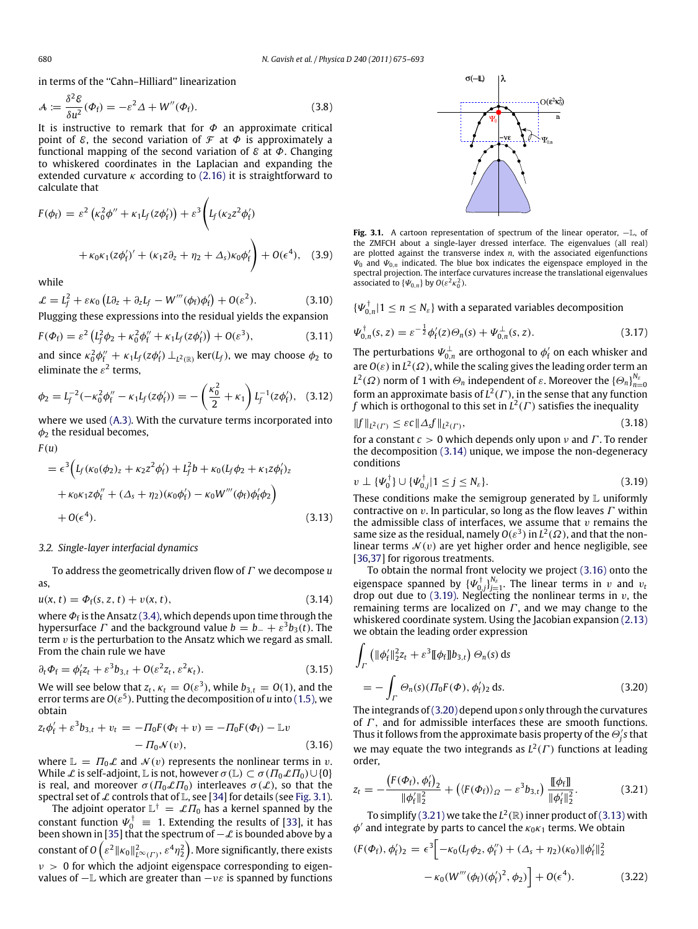in terms of the ''Cahn–Hilliard'' linearization

$$
\mathcal{A} := \frac{\delta^2 \mathcal{E}}{\delta u^2} (\Phi_f) = -\varepsilon^2 \Delta + W''(\Phi_f). \tag{3.8}
$$

It is instructive to remark that for  $\Phi$  an approximate critical point of  $\mathcal E$ , the second variation of  $\mathcal F$  at  $\Phi$  is approximately a functional mapping of the second variation of  $\mathcal E$  at  $\Phi$ . Changing to whiskered coordinates in the Laplacian and expanding the extended curvature  $\kappa$  according to [\(2.16\)](#page-4-3) it is straightforward to calculate that

$$
F(\phi_f) = \varepsilon^2 \left( \kappa_0^2 \phi'' + \kappa_1 L_f(z\phi'_f) \right) + \varepsilon^3 \left( L_f(\kappa_2 z^2 \phi'_f) + \kappa_0 \kappa_1 (z\phi'_f)' + (\kappa_1 z \partial_z + \eta_2 + \Delta_s) \kappa_0 \phi'_f \right) + O(\varepsilon^4), \quad (3.9)
$$

while

$$
\mathcal{L} = L_f^2 + \varepsilon \kappa_0 \left( L \partial_z + \partial_z L_f - W'''(\phi_f) \phi'_f \right) + O(\varepsilon^2). \tag{3.10}
$$

Plugging these expressions into the residual yields the expansion

$$
F(\Phi_{\rm f}) = \varepsilon^2 \left( L_{\rm f}^2 \phi_2 + \kappa_0^2 \phi_{\rm f}'' + \kappa_1 L_{\rm f}(z \phi_{\rm f}') \right) + O(\varepsilon^3), \tag{3.11}
$$

and since  $\kappa_0^2 \phi''_f + \kappa_1 L_f(z \phi'_f) \perp_{L^2(\mathbb{R})} \text{ker}(L_f)$ , we may choose  $\phi_2$  to eliminate the  $\varepsilon^2$  terms,

$$
\phi_2 = L_f^{-2}(-\kappa_0^2 \phi_f^{\prime\prime} - \kappa_1 L_f(z\phi_f^{\prime})) = -\left(\frac{\kappa_0^2}{2} + \kappa_1\right) L_f^{-1}(z\phi_f^{\prime}), \quad (3.12)
$$

where we used [\(A.3\).](#page-17-2) With the curvature terms incorporated into  $\phi_2$  the residual becomes,

$$
F(u)
$$

$$
= \epsilon^3 \Big( L_f (\kappa_0 (\phi_2)_z + \kappa_2 z^2 \phi'_f) + L_f^2 b + \kappa_0 (L_f \phi_2 + \kappa_1 z \phi'_f)_z + \kappa_0 \kappa_1 z \phi''_f + (\Delta_s + \eta_2) (\kappa_0 \phi'_f) - \kappa_0 W'''(\phi_f) \phi'_f \phi_2 \Big) + O(\epsilon^4).
$$
 (3.13)

#### *3.2. Single-layer interfacial dynamics*

To address the geometrically driven flow of Γ we decompose *u* as,

$$
u(x, t) = \Phi_f(s, z, t) + v(x, t),
$$
\n(3.14)

where  $\varPhi_{\mathrm{f}}$  is the Ansatz [\(3.4\),](#page-4-4) which depends upon time through the hypersurface  $\varGamma$  and the background value  $b = b_- + \varepsilon^3 b_3(t)$ . The term  $v$  is the perturbation to the Ansatz which we regard as small. From the chain rule we have

$$
\partial_t \Phi_f = \phi'_f z_t + \varepsilon^3 b_{3,t} + O(\varepsilon^2 z_t, \varepsilon^2 \kappa_t). \tag{3.15}
$$

We will see below that  $z_t$ ,  $\kappa_t = O(\varepsilon^3)$ , while  $b_{3,t} = O(1)$ , and the error terms are  $O(\varepsilon^5)$ . Putting the decomposition of  $u$  into ( 1.5), we obtain

$$
z_{t}\phi_{f}^{\prime} + \varepsilon^{3}b_{3,t} + v_{t} = -\Pi_{0}F(\Phi_{f} + v) = -\Pi_{0}F(\Phi_{f}) - \mathbb{L}v - \Pi_{0}\mathcal{N}(v),
$$
 (3.16)

where  $\mathbb{L} = \Pi_0 \mathcal{L}$  and  $\mathcal{N}(v)$  represents the nonlinear terms in v. While  $\mathcal L$  is self-adjoint,  $\mathbb L$  is not, however  $\sigma(\mathbb L) \subset \sigma(\Pi_0 \mathcal L \Pi_0) \cup \{0\}$ is real, and moreover  $\sigma(\Pi_0 \mathcal{L} \Pi_0)$  interleaves  $\sigma(\mathcal{L})$ , so that the spectral set of  $\mathcal L$  controls that of  $\mathbb L$ , see [\[34\]](#page-18-28) for details (see [Fig. 3.1\)](#page-5-0).

The adjoint operator  $\mathbb{L}^{\dagger} = \mathcal{L} \Pi_0$  has a kernel spanned by the constant function  $\Psi_0^{\dagger} = 1$ . Extending the results of [\[33\]](#page-18-27), it has been shown in [\[35\]](#page-18-29) that the spectrum of  $-\mathcal{L}$  is bounded above by a constant of O  $\left(\varepsilon^2 \|\kappa_0\|^2_{L^\infty(\varGamma)}, \varepsilon^4\eta_2^2\right)$ . More significantly, there exists  $v > 0$  for which the adjoint eigenspace corresponding to eigenvalues of  $-\mathbb{L}$  which are greater than  $-v\epsilon$  is spanned by functions

<span id="page-5-0"></span>

**Fig. 3.1.** A cartoon representation of spectrum of the linear operator, −L, of the ZMFCH about a single-layer dressed interface. The eigenvalues (all real) are plotted against the transverse index *n*, with the associated eigenfunctions  $\Psi_0$  and  $\Psi_{0,n}$  indicated. The blue box indicates the eigenspace employed in the spectral projection. The interface curvatures increase the translational eigenvalues associated to  $\{\Psi_{0,n}\}\$  by  $O(\varepsilon^2 \kappa_0^2)$ .

 $\{\Psi_{0,n}^{\dagger}|1\leq n\leq N_{\varepsilon}\}$  with a separated variables decomposition

$$
\Psi_{0,n}^{\dagger}(s,z) = \varepsilon^{-\frac{1}{2}} \phi_{f}'(z) \Theta_{n}(s) + \Psi_{0,n}^{\perp}(s,z). \tag{3.17}
$$

<span id="page-5-7"></span>The perturbations  $\varPsi_{0,n}^\perp$  are orthogonal to  $\phi_\mathrm{f}'$  on each whisker and are  $O(\varepsilon)$  in  $L^2(\Omega)$ , while the scaling gives the leading order term an *L*<sup>2</sup>(Ω) norm of 1 with  $\Theta_n$  independent of ε. Moreover the  ${\Theta_n}$  $\big\}_{n=0}^{N_{\epsilon}}$ form an approximate basis of  $L^2(\Gamma)$ , in the sense that any function  $f$  which is orthogonal to this set in  $L^2(\varGamma)$  satisfies the inequality

$$
||f||_{L^{2}(\Gamma)} \leq \varepsilon c ||\Delta_{s}f||_{L^{2}(\Gamma)},
$$
\n(3.18)

for a constant  $c > 0$  which depends only upon  $\nu$  and  $\Gamma$ . To render the decomposition [\(3.14\)](#page-5-1) unique, we impose the non-degeneracy conditions

<span id="page-5-3"></span>
$$
v \perp \{\Psi_0^{\dagger}\} \cup \{\Psi_{0,j}^{\dagger} | 1 \leq j \leq N_{\varepsilon}\}.
$$
\n(3.19)

<span id="page-5-6"></span>These conditions make the semigroup generated by  $\mathbb L$  uniformly contractive on  $v$ . In particular, so long as the flow leaves  $\Gamma$  within the admissible class of interfaces, we assume that  $v$  remains the same size as the residual, namely  $O(\varepsilon^3)$  in  $L^2(\Omega)$ , and that the nonlinear terms  $\mathcal{N}(v)$  are yet higher order and hence negligible, see [\[36](#page-18-30)[,37\]](#page-18-31) for rigorous treatments.

<span id="page-5-1"></span>To obtain the normal front velocity we project [\(3.16\)](#page-5-2) onto the eigenspace spanned by  $\{\Psi_{0,j}^{\dagger}\}_{j=1}^{N_{\varepsilon}}$ . The linear terms in v and  $v_i$ drop out due to [\(3.19\).](#page-5-3) Neglecting the nonlinear terms in  $v$ , the remaining terms are localized on  $\Gamma$ , and we may change to the whiskered coordinate system. Using the Jacobian expansion [\(2.13\)](#page-3-3) we obtain the leading order expression

<span id="page-5-4"></span>
$$
\int_{\Gamma} \left( \|\phi_f'\|_2^2 z_t + \varepsilon^3 \|\phi_f\| b_{3,t} \right) \Theta_n(s) ds
$$
\n
$$
= - \int_{\Gamma} \Theta_n(s) (T_0 F(\Phi), \phi_f')_2 ds. \tag{3.20}
$$

<span id="page-5-2"></span>The integrands of[\(3.20\)](#page-5-4) depend upon *s* only through the curvatures of  $\Gamma$ , and for admissible interfaces these are smooth functions. Thus it follows from the approximate basis property of the  $\Theta_j$ 's that we may equate the two integrands as  $L^2(\Gamma)$  functions at leading order,

<span id="page-5-5"></span>
$$
z_{t} = -\frac{\left(F(\Phi_{f}), \phi_{f}'\right)_{2}}{\|\phi_{f}'\|_{2}^{2}} + \left(\left\langle F(\Phi_{f})\right\rangle_{\varOmega} - \varepsilon^{3}b_{3,t}\right) \frac{\llbracket \phi_{f} \rrbracket}{\|\phi_{f}'\|_{2}^{2}}.
$$
 (3.21)

To simplify [\(3.21\)](#page-5-5) we take the  $L^2(\mathbb{R})$  inner product of [\(3.13\)](#page-5-6) with  $\phi'$  and integrate by parts to cancel the  $\kappa_0 \kappa_1$  terms. We obtain

$$
(F(\Phi_f), \phi'_f)_2 = \epsilon^3 \Big[ -\kappa_0 (L_f \phi_2, \phi''_f) + (\Delta_s + \eta_2)(\kappa_0) \| \phi'_f \|_2^2
$$
  

$$
- \kappa_0 (W'''(\phi_f)(\phi'_f)^2, \phi_2) \Big] + O(\epsilon^4). \tag{3.22}
$$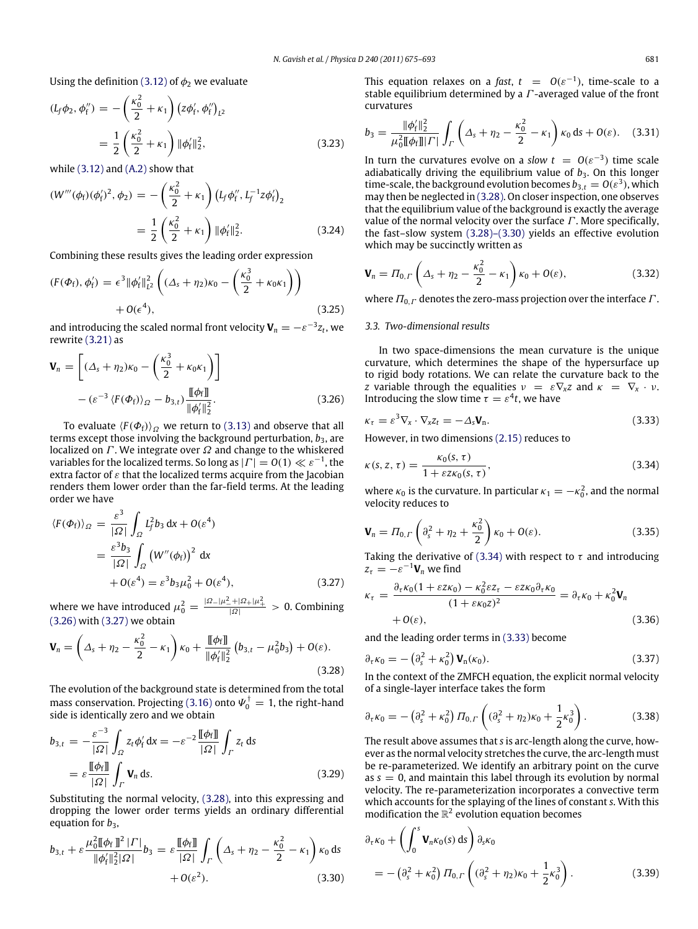Using the definition [\(3.12\)](#page-5-7) of  $\phi_2$  we evaluate

$$
(L_f \phi_2, \phi_1'') = -\left(\frac{\kappa_0^2}{2} + \kappa_1\right) \left(z\phi_1', \phi_1''\right)_{L^2}
$$
  
= 
$$
\frac{1}{2} \left(\frac{\kappa_0^2}{2} + \kappa_1\right) \|\phi_1'\|_2^2,
$$
 (3.23)

while [\(3.12\)](#page-5-7) and [\(A.2\)](#page-17-3) show that

$$
(W'''(\phi_f)(\phi'_f)^2, \phi_2) = -\left(\frac{\kappa_0^2}{2} + \kappa_1\right) \left(L_f \phi''_f, L_f^{-1} z \phi'_f\right)_2
$$
  
=  $\frac{1}{2} \left(\frac{\kappa_0^2}{2} + \kappa_1\right) ||\phi'_f||_2^2.$  (3.24)

Combining these results gives the leading order expression

$$
(F(\Phi_f), \phi'_f) = \epsilon^3 \|\phi'_f\|_{L^2}^2 \left( (\Delta_s + \eta_2)\kappa_0 - \left(\frac{\kappa_0^3}{2} + \kappa_0 \kappa_1\right) \right) + O(\epsilon^4), \tag{3.25}
$$

and introducing the scaled normal front velocity  $\mathbf{V}_n = -\varepsilon^{-3} z_t$ , we rewrite [\(3.21\)](#page-5-5) as

$$
\mathbf{V}_n = \left[ (\Delta_s + \eta_2) \kappa_0 - \left( \frac{\kappa_0^3}{2} + \kappa_0 \kappa_1 \right) \right]
$$

$$
- (\varepsilon^{-3} \langle F(\Phi_f) \rangle_{\Omega} - b_{3,t}) \frac{\llbracket \phi_f \rrbracket}{\|\phi'_f\|_2^2}.
$$
(3.26)

To evaluate  $\langle F(\Phi_f) \rangle_{\Omega}$  we return to [\(3.13\)](#page-5-6) and observe that all terms except those involving the background perturbation,  $b_3$ , are localized on  $\Gamma$ . We integrate over  $\Omega$  and change to the whiskered variables for the localized terms. So long as  $|\Gamma|=O(1)\ll \varepsilon^{-1}$ , the extra factor of  $\varepsilon$  that the localized terms acquire from the Jacobian renders them lower order than the far-field terms. At the leading order we have

$$
\langle F(\Phi_f) \rangle_{\Omega} = \frac{\varepsilon^3}{|\Omega|} \int_{\Omega} L_f^2 b_3 \, dx + O(\varepsilon^4)
$$
  
= 
$$
\frac{\varepsilon^3 b_3}{|\Omega|} \int_{\Omega} \left( W''(\phi_f) \right)^2 \, dx
$$
  
+ 
$$
O(\varepsilon^4) = \varepsilon^3 b_3 \mu_0^2 + O(\varepsilon^4), \tag{3.27}
$$

where we have introduced  $\mu_0^2 = \frac{|\Omega - |\mu_-^2 + |\Omega_+|\mu_+^2}{|\Omega|} > 0$ . Combining [\(3.26\)](#page-6-0) with [\(3.27\)](#page-6-1) we obtain

$$
\mathbf{V}_n = \left(\Delta_s + \eta_2 - \frac{\kappa_0^2}{2} - \kappa_1\right)\kappa_0 + \frac{\llbracket \phi_f \rrbracket}{\|\phi_f'\|_2^2} \left(b_{3,t} - \mu_0^2 b_3\right) + O(\varepsilon). \tag{3.28}
$$

The evolution of the background state is determined from the total mass conservation. Projecting [\(3.16\)](#page-5-2) onto  $\boldsymbol{\varPsi}_0^\dagger = 1$ , the right-hand side is identically zero and we obtain

$$
b_{3,t} = -\frac{\varepsilon^{-3}}{|\Omega|} \int_{\Omega} z_t \phi'_f dx = -\varepsilon^{-2} \frac{\llbracket \phi_f \rrbracket}{|\Omega|} \int_{\Gamma} z_t ds
$$
  
=  $\varepsilon \frac{\llbracket \phi_f \rrbracket}{|\Omega|} \int_{\Gamma} \mathbf{V}_n ds.$  (3.29)

Substituting the normal velocity, [\(3.28\),](#page-6-2) into this expressing and dropping the lower order terms yields an ordinary differential equation for  $b_3$ ,

$$
b_{3,t} + \varepsilon \frac{\mu_0^2 \llbracket \phi_f \rrbracket^2 | \Gamma|}{\|\phi'_f\|_2^2 |\Omega|} b_3 = \varepsilon \frac{\llbracket \phi_f \rrbracket}{|\Omega|} \int_{\Gamma} \left( \Delta_s + \eta_2 - \frac{\kappa_0^2}{2} - \kappa_1 \right) \kappa_0 \, \mathrm{d}s
$$
  
+  $O(\varepsilon^2).$  (3.30)

This equation relaxes on a *fast*,  $t = O(\varepsilon^{-1})$ , time-scale to a stable equilibrium determined by a  $\Gamma$ -averaged value of the front curvatures

$$
b_3 = \frac{\|\phi_{\rm f}'\|_2^2}{\mu_0^2 \llbracket \phi_{\rm f} \rrbracket |F|} \int_{\Gamma} \left( \Delta_s + \eta_2 - \frac{\kappa_0^2}{2} - \kappa_1 \right) \kappa_0 \, \mathrm{d}s + O(\varepsilon). \tag{3.31}
$$

In turn the curvatures evolve on a *slow*  $t = O(\varepsilon^{-3})$  time scale adiabatically driving the equilibrium value of  $b_3$ . On this longer time-scale, the background evolution becomes  $b_{3,t} = O(\varepsilon^3)$ , which may then be neglected in [\(3.28\).](#page-6-2) On closer inspection, one observes that the equilibrium value of the background is exactly the average value of the normal velocity over the surface  $\Gamma$ . More specifically, the fast–slow system [\(3.28\)–\(3.30\)](#page-6-2) yields an effective evolution which may be succinctly written as

$$
\mathbf{V}_n = \Pi_{0,\Gamma} \left( \Delta_s + \eta_2 - \frac{\kappa_0^2}{2} - \kappa_1 \right) \kappa_0 + O(\varepsilon), \tag{3.32}
$$

where  $\Pi_{0,\Gamma}$  denotes the zero-mass projection over the interface  $\Gamma$ .

#### *3.3. Two-dimensional results*

In two space-dimensions the mean curvature is the unique curvature, which determines the shape of the hypersurface up to rigid body rotations. We can relate the curvature back to the *z* variable through the equalities  $v = \varepsilon \nabla_x z$  and  $\kappa = \nabla_x \cdot v$ . Introducing the slow time  $\tau = \varepsilon^4 t$ , we have

<span id="page-6-4"></span><span id="page-6-0"></span>
$$
\kappa_{\tau} = \varepsilon^3 \nabla_{\mathbf{x}} \cdot \nabla_{\mathbf{x}} z_t = -\Delta_{\mathbf{s}} \mathbf{V}_n. \tag{3.33}
$$

However, in two dimensions [\(2.15\)](#page-4-5) reduces to

<span id="page-6-3"></span>
$$
\kappa(s, z, \tau) = \frac{\kappa_0(s, \tau)}{1 + \varepsilon z \kappa_0(s, \tau)},
$$
\n(3.34)

where  $\kappa_0$  is the curvature. In particular  $\kappa_1 = -\kappa_0^2$ , and the normal velocity reduces to

$$
\mathbf{V}_n = \Pi_{0,\Gamma} \left( \partial_s^2 + \eta_2 + \frac{\kappa_0^2}{2} \right) \kappa_0 + O(\varepsilon). \tag{3.35}
$$

Taking the derivative of [\(3.34\)](#page-6-3) with respect to  $\tau$  and introducing  $z_{\tau} = -\varepsilon^{-1} \mathbf{V}_n$  we find

<span id="page-6-1"></span>
$$
\kappa_{\tau} = \frac{\partial_{\tau} \kappa_0 (1 + \varepsilon z \kappa_0) - \kappa_0^2 \varepsilon z_{\tau} - \varepsilon z \kappa_0 \partial_{\tau} \kappa_0}{(1 + \varepsilon \kappa_0 z)^2} = \partial_{\tau} \kappa_0 + \kappa_0^2 \mathbf{V}_n
$$
  
+ O(\varepsilon), (3.36)

and the leading order terms in [\(3.33\)](#page-6-4) become

$$
\partial_{\tau} \kappa_0 = - \left( \partial_s^2 + \kappa_0^2 \right) \mathbf{V}_n(\kappa_0). \tag{3.37}
$$

<span id="page-6-2"></span>In the context of the ZMFCH equation, the explicit normal velocity of a single-layer interface takes the form

$$
\partial_{\tau} \kappa_0 = -\left(\partial_s^2 + \kappa_0^2\right) \varPi_{0,\varGamma} \left( (\partial_s^2 + \eta_2) \kappa_0 + \frac{1}{2} \kappa_0^3 \right). \tag{3.38}
$$

The result above assumes that *s* is arc-length along the curve, however as the normal velocity stretches the curve, the arc-length must be re-parameterized. We identify an arbitrary point on the curve as  $s = 0$ , and maintain this label through its evolution by normal velocity. The re-parameterization incorporates a convective term which accounts for the splaying of the lines of constant *s*. With this modification the  $\mathbb{R}^2$  evolution equation becomes

<span id="page-6-5"></span>
$$
\partial_{\tau} \kappa_0 + \left( \int_0^s \mathbf{V}_n \kappa_0(s) \, ds \right) \partial_s \kappa_0 \n= - \left( \partial_s^2 + \kappa_0^2 \right) \varPi_{0,\varGamma} \left( (\partial_s^2 + \eta_2) \kappa_0 + \frac{1}{2} \kappa_0^3 \right).
$$
\n(3.39)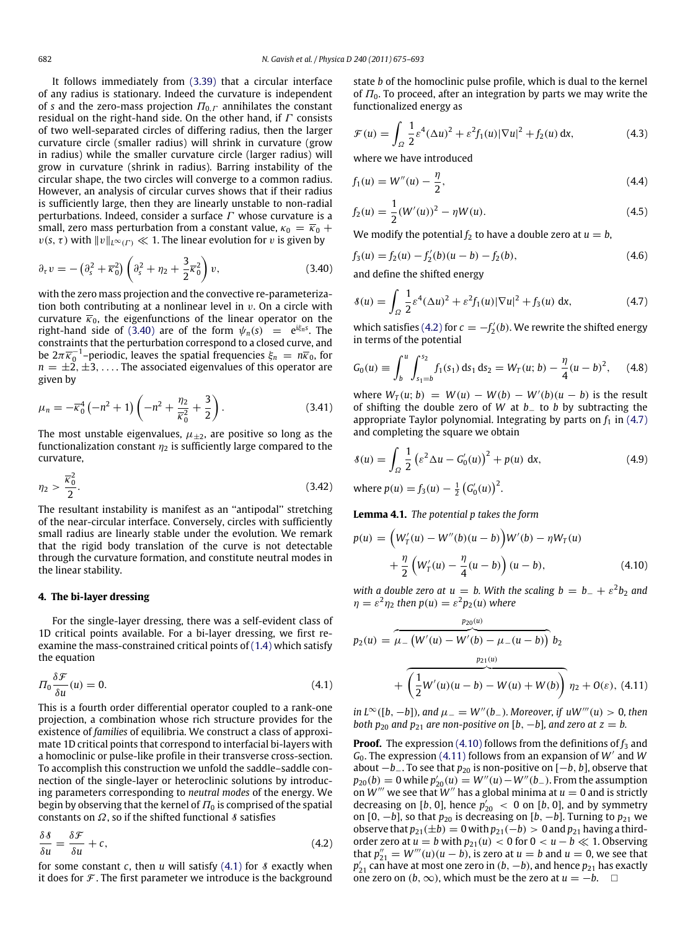It follows immediately from [\(3.39\)](#page-6-5) that a circular interface of any radius is stationary. Indeed the curvature is independent of *s* and the zero-mass projection  $\Pi_{0,\Gamma}$  annihilates the constant residual on the right-hand side. On the other hand, if  $\Gamma$  consists of two well-separated circles of differing radius, then the larger curvature circle (smaller radius) will shrink in curvature (grow in radius) while the smaller curvature circle (larger radius) will grow in curvature (shrink in radius). Barring instability of the circular shape, the two circles will converge to a common radius. However, an analysis of circular curves shows that if their radius is sufficiently large, then they are linearly unstable to non-radial perturbations. Indeed, consider a surface  $\Gamma$  whose curvature is a small, zero mass perturbation from a constant value,  $\kappa_0 = \overline{\kappa}_0 +$  $v(s, \tau)$  with  $||v||_{L^{\infty}(\Gamma)} \ll 1$ . The linear evolution for v is given by

$$
\partial_{\tau} v = - \left( \partial_s^2 + \overline{\kappa}_0^2 \right) \left( \partial_s^2 + \eta_2 + \frac{3}{2} \overline{\kappa}_0^2 \right) v, \tag{3.40}
$$

with the zero mass projection and the convective re-parameterization both contributing at a nonlinear level in  $v$ . On a circle with curvature  $\overline{\kappa}_0$ , the eigenfunctions of the linear operator on the right-hand side of [\(3.40\)](#page-7-2) are of the form  $\psi_n(s) = e^{i\xi_n s}$ . The constraints that the perturbation correspond to a closed curve, and be  $2\pi\overline{\kappa}_0^{-1}$ –periodic, leaves the spatial frequencies  $\xi_n = n\overline{\kappa}_0$ , for  $n = \pm 2, \pm 3, \ldots$ . The associated eigenvalues of this operator are given by

$$
\mu_n = -\overline{\kappa}_0^4 \left( -n^2 + 1 \right) \left( -n^2 + \frac{\eta_2}{\overline{\kappa}_0^2} + \frac{3}{2} \right). \tag{3.41}
$$

The most unstable eigenvalues,  $\mu_{\pm 2}$ , are positive so long as the functionalization constant  $\eta_2$  is sufficiently large compared to the curvature,

$$
\eta_2 > \frac{\overline{\kappa}_0^2}{2}.\tag{3.42}
$$

The resultant instability is manifest as an ''antipodal'' stretching of the near-circular interface. Conversely, circles with sufficiently small radius are linearly stable under the evolution. We remark that the rigid body translation of the curve is not detectable through the curvature formation, and constitute neutral modes in the linear stability.

## **4. The bi-layer dressing**

For the single-layer dressing, there was a self-evident class of 1D critical points available. For a bi-layer dressing, we first reexamine the mass-constrained critical points of [\(1.4\)](#page-1-0) which satisfy the equation

<span id="page-7-3"></span>
$$
\Pi_0 \frac{\delta \mathcal{F}}{\delta u}(u) = 0. \tag{4.1}
$$

This is a fourth order differential operator coupled to a rank-one projection, a combination whose rich structure provides for the existence of *families* of equilibria. We construct a class of approximate 1D critical points that correspond to interfacial bi-layers with a homoclinic or pulse-like profile in their transverse cross-section. To accomplish this construction we unfold the saddle–saddle connection of the single-layer or heteroclinic solutions by introducing parameters corresponding to *neutral modes* of the energy. We begin by observing that the kernel of  $\Pi_0$  is comprised of the spatial constants on  $\Omega$ , so if the shifted functional  $\delta$  satisfies

$$
\frac{\delta \delta}{\delta u} = \frac{\delta \mathcal{F}}{\delta u} + c,\tag{4.2}
$$

for some constant  $c$ , then  $u$  will satisfy  $(4.1)$  for  $\delta$  exactly when it does for  $\mathcal F$ . The first parameter we introduce is the background state *b* of the homoclinic pulse profile, which is dual to the kernel of  $\Pi_0$ . To proceed, after an integration by parts we may write the functionalized energy as

$$
\mathcal{F}(u) = \int_{\Omega} \frac{1}{2} \varepsilon^4 (\Delta u)^2 + \varepsilon^2 f_1(u) |\nabla u|^2 + f_2(u) \, \mathrm{d} x,\tag{4.3}
$$

where we have introduced

$$
f_1(u) = W''(u) - \frac{\eta}{2},
$$
\n(4.4)

$$
f_2(u) = \frac{1}{2}(W'(u))^2 - \eta W(u).
$$
 (4.5)

We modify the potential  $f_2$  to have a double zero at  $u = b$ ,

<span id="page-7-2"></span>
$$
f_3(u) = f_2(u) - f_2'(b)(u - b) - f_2(b),
$$
\n(4.6)

and define the shifted energy

<span id="page-7-5"></span>
$$
\delta(u) = \int_{\Omega} \frac{1}{2} \varepsilon^4 (\Delta u)^2 + \varepsilon^2 f_1(u) |\nabla u|^2 + f_3(u) \, dx,\tag{4.7}
$$

which satisfies [\(4.2\)](#page-7-4) for  $c = -f'_{2}(b)$ . We rewrite the shifted energy in terms of the potential

<span id="page-7-8"></span>
$$
G_0(u) \equiv \int_b^u \int_{s_1=b}^{s_2} f_1(s_1) \, ds_1 \, ds_2 = W_T(u; b) - \frac{\eta}{4} (u - b)^2, \quad (4.8)
$$

where  $W_T(u; b) = W(u) - W(b) - W'(b)(u - b)$  is the result of shifting the double zero of *W* at *b*− to *b* by subtracting the appropriate Taylor polynomial. Integrating by parts on  $f_1$  in [\(4.7\)](#page-7-5) and completing the square we obtain

<span id="page-7-0"></span>
$$
\mathcal{S}(u) = \int_{\Omega} \frac{1}{2} \left( \varepsilon^2 \Delta u - G_0'(u) \right)^2 + p(u) \, dx,\tag{4.9}
$$

<span id="page-7-1"></span>where  $p(u) = f_3(u) - \frac{1}{2} (G'_0(u))^2$ .

**Lemma 4.1.** *The potential p takes the form*

<span id="page-7-6"></span>
$$
p(u) = (W'_T(u) - W''(b)(u - b))W'(b) - \eta W_T(u)
$$
  
+  $\frac{\eta}{2} (W'_T(u) - \frac{\eta}{4}(u - b)) (u - b),$  (4.10)

*with a double zero at*  $u = b$ *. With the scaling*  $b = b_- + \varepsilon^2 b_2$  *and*  $\eta = \varepsilon^2 \eta_2$  then  $p(u) = \varepsilon^2 p_2(u)$  where

<span id="page-7-7"></span>
$$
p_2(u) = \overbrace{\mu_{-}(W'(u) - W'(b) - \mu_{-}(u - b))}^{p_{20}(u)} b_2
$$
  
+ 
$$
\overbrace{\left(\frac{1}{2}W'(u)(u - b) - W(u) + W(b)\right)}^{p_{21}(u)} \eta_2 + O(\varepsilon), (4.11)
$$

*in*  $L^∞([b, -b])$ *, and*  $\mu = W''(b_$ *). Moreover, if*  $uW'''(u) > 0$ *, then both*  $p_{20}$  *and*  $p_{21}$  *are non-positive on* [*b*,  $-b$ ]*, and zero at*  $z = b$ *.* 

<span id="page-7-4"></span>**Proof.** The expression [\(4.10\)](#page-7-6) follows from the definitions of  $f_3$  and *<sup>G</sup>*0. The expression [\(4.11\)](#page-7-7) follows from an expansion of *<sup>W</sup>*′ and *W* about −*b*−. To see that *p*<sup>20</sup> is non-positive on [−*b*, *b*], observe that  $p_{20}(b) = 0$  while  $p'_{20}(u) = W''(u) - W''(b_-)$ . From the assumption on  $W'''$  we see that  $W''$  has a global minima at  $u = 0$  and is strictly decreasing on [*b*, 0], hence  $p'_{20}$  < 0 on [*b*, 0], and by symmetry on  $[0, -b]$ , so that  $p_{20}$  is decreasing on  $[b, -b]$ . Turning to  $p_{21}$  we observe that  $p_{21}(\pm b) = 0$  with  $p_{21}(-b) > 0$  and  $p_{21}$  having a thirdorder zero at  $u = b$  with  $p_{21}(u) < 0$  for  $0 < u - b \ll 1$ . Observing that  $p_{21}'' = W'''(u)(u - b)$ , is zero at  $u = b$  and  $u = 0$ , we see that  $p'_{21}$  can have at most one zero in (*b*, −*b*), and hence  $p_{21}$  has exactly one zero on  $(b, ∞)$ , which must be the zero at  $u = -b$ .  $□$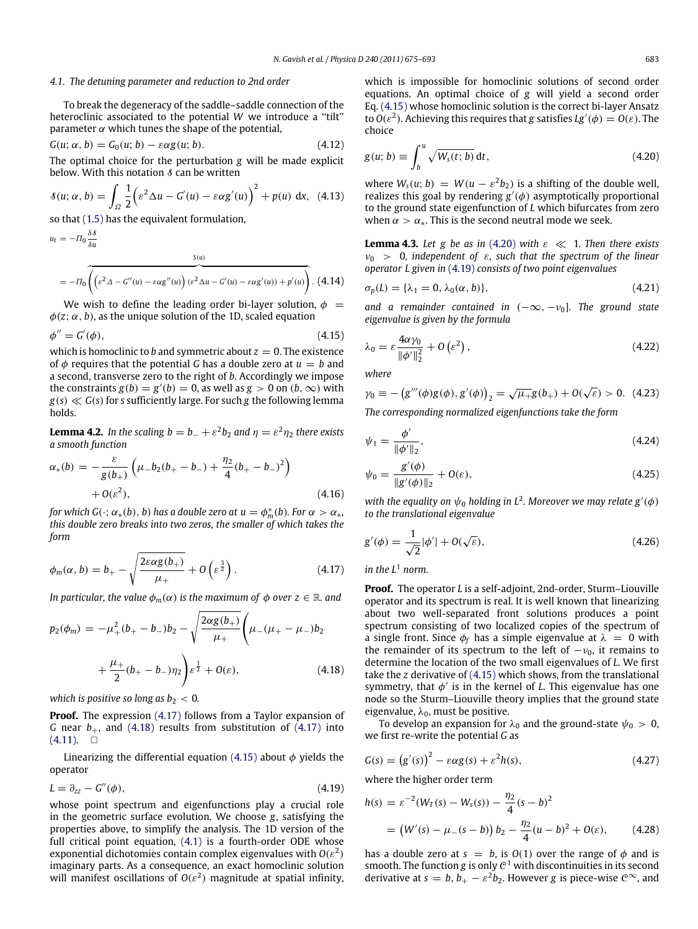#### *4.1. The detuning parameter and reduction to 2nd order*

To break the degeneracy of the saddle–saddle connection of the heteroclinic associated to the potential *W* we introduce a "tilt" parameter  $\alpha$  which tunes the shape of the potential,

$$
G(u; \alpha, b) = G_0(u; b) - \varepsilon \alpha g(u; b).
$$
\n(4.12)

The optimal choice for the perturbation *g* will be made explicit below. With this notation  $\delta$  can be written

$$
\delta(u; \alpha, b) = \int_{\Omega} \frac{1}{2} \left( \varepsilon^2 \Delta u - G'(u) - \varepsilon \alpha g'(u) \right)^2 + p(u) \, dx, \tag{4.13}
$$

so that [\(1.5\)](#page-1-1) has the equivalent formulation,

$$
u_{t} = -\Pi_{0} \frac{\delta \delta}{\delta u}
$$
  
=  $-\Pi_{0} \left( \left( \varepsilon^{2} \Delta - G''(u) - \varepsilon \alpha g''(u) \right) (\varepsilon^{2} \Delta u - G'(u) - \varepsilon \alpha g'(u)) + p'(u) \right)$ . (4.14)

We wish to define the leading order bi-layer solution,  $\phi =$  $\phi(z; \alpha, b)$ , as the unique solution of the 1D, scaled equation

$$
\phi'' = G'(\phi),\tag{4.15}
$$

which is homoclinic to *b* and symmetric about  $z = 0$ . The existence of  $\phi$  requires that the potential *G* has a double zero at  $u = b$  and a second, transverse zero to the right of *b*. Accordingly we impose the constraints  $g(b) = g'(b) = 0$ , as well as  $g > 0$  on  $(b, \infty)$  with  $g(s) \ll G(s)$  for *s* sufficiently large. For such *g* the following lemma holds.

**Lemma 4.2.** In the scaling  $b = b_- + \varepsilon^2 b_2$  and  $\eta = \varepsilon^2 \eta_2$  there exists *a smooth function*

$$
\alpha_*(b) = -\frac{\varepsilon}{g(b_+)} \left( \mu_- b_2 (b_+ - b_-) + \frac{\eta_2}{4} (b_+ - b_-)^2 \right) + O(\varepsilon^2), \tag{4.16}
$$

for which  $G(\cdot; \alpha_*(b), b)$  has a double zero at  $u = \phi_m^*(b)$ . For  $\alpha > \alpha_*$ , *this double zero breaks into two zeros, the smaller of which takes the form*

$$
\phi_m(\alpha, b) = b_+ - \sqrt{\frac{2\varepsilon\alpha g(b_+)}{\mu_+}} + O\left(\varepsilon^{\frac{3}{2}}\right). \tag{4.17}
$$

*In particular, the value*  $\phi_m(\alpha)$  *is the maximum of*  $\phi$  *over*  $z \in \mathbb{R}$  *and* 

$$
p_2(\phi_m) = -\mu_+^2 (b_+ - b_-) b_2 - \sqrt{\frac{2\alpha g(b_+)}{\mu_+}} \left(\mu_- (\mu_+ - \mu_-) b_2 + \frac{\mu_+}{2} (b_+ - b_-) \eta_2\right) \varepsilon^{\frac{1}{2}} + O(\varepsilon), \tag{4.18}
$$

*which is positive so long as*  $b_2 < 0$ *.* 

**Proof.** The expression [\(4.17\)](#page-8-1) follows from a Taylor expansion of *G* near  $b_+$ , and [\(4.18\)](#page-8-2) results from substitution of [\(4.17\)](#page-8-1) into  $(4.11)$ .  $\Box$ 

Linearizing the differential equation [\(4.15\)](#page-8-3) about  $\phi$  yields the operator

$$
L = \partial_{zz} - G''(\phi), \tag{4.19}
$$

whose point spectrum and eigenfunctions play a crucial role in the geometric surface evolution. We choose *g*, satisfying the properties above, to simplify the analysis. The 1D version of the full critical point equation, [\(4.1\)](#page-7-3) is a fourth-order ODE whose exponential dichotomies contain complex eigenvalues with  $O(\varepsilon^2)$ imaginary parts. As a consequence, an exact homoclinic solution will manifest oscillations of  $O(\varepsilon^2)$  magnitude at spatial infinity,

which is impossible for homoclinic solutions of second order equations. An optimal choice of *g* will yield a second order Eq. [\(4.15\)](#page-8-3) whose homoclinic solution is the correct bi-layer Ansatz to  $O(\varepsilon^2)$ . Achieving this requires that *g* satisfies  $Lg'(\phi) = O(\varepsilon)$ . The choice

<span id="page-8-11"></span><span id="page-8-4"></span>
$$
g(u; b) \equiv \int_b^u \sqrt{W_s(t; b)} dt,
$$
\n(4.20)

<span id="page-8-0"></span>where  $W_s(u; b) = W(u - \varepsilon^2 b_2)$  is a shifting of the double well, realizes this goal by rendering  $g'(\phi)$  asymptotically proportional to the ground state eigenfunction of *L* which bifurcates from zero when  $\alpha > \alpha_*$ . This is the second neutral mode we seek.

<span id="page-8-12"></span>**Lemma 4.3.** Let g be as in [\(4.20\)](#page-8-4) with  $\varepsilon \ll 1$ . Then there exists  $v_0 > 0$ , independent of  $\varepsilon$ , such that the spectrum of the linear *operator L given in* [\(4.19\)](#page-8-5) *consists of two point eigenvalues*

$$
\sigma_p(L) = {\lambda_1 = 0, \lambda_0(\alpha, b)},
$$
\n(4.21)

*and a remainder contained in*  $(-\infty, -\nu_0]$ *. The ground state eigenvalue is given by the formula*

<span id="page-8-8"></span><span id="page-8-3"></span>
$$
\lambda_0 = \varepsilon \frac{4\alpha \gamma_0}{\|\phi'\|_2^2} + O\left(\varepsilon^2\right),\tag{4.22}
$$

<span id="page-8-10"></span>*where*

$$
\gamma_0 \equiv -\left(g'''(\phi)g(\phi), g'(\phi)\right)_2 = \sqrt{\mu_+}g(b_+) + O(\sqrt{\varepsilon}) > 0. \tag{4.23}
$$

*The corresponding normalized eigenfunctions take the form*

$$
\psi_1 = \frac{\phi'}{\|\phi'\|_2},\tag{4.24}
$$

<span id="page-8-7"></span>
$$
\psi_0 = \frac{g'(\phi)}{\|g'(\phi)\|_2} + O(\varepsilon),\tag{4.25}
$$

*with the equality on*  $\psi_0$  *holding in*  $L^2$ *. Moreover we may relate*  $g'(\phi)$ *to the translational eigenvalue*

<span id="page-8-9"></span>
$$
g'(\phi) = \frac{1}{\sqrt{2}} |\phi'| + O(\sqrt{\varepsilon}),
$$
\n(4.26)

<span id="page-8-1"></span>*in the L*<sup>1</sup> *norm.*

<span id="page-8-2"></span>**Proof.** The operator *L* is a self-adjoint, 2nd-order, Sturm–Liouville operator and its spectrum is real. It is well known that linearizing about two well-separated front solutions produces a point spectrum consisting of two localized copies of the spectrum of a single front. Since  $\phi_f$  has a simple eigenvalue at  $\lambda = 0$  with the remainder of its spectrum to the left of  $-v_0$ , it remains to determine the location of the two small eigenvalues of *L*. We first take the *z* derivative of [\(4.15\)](#page-8-3) which shows, from the translational symmetry, that  $\phi'$  is in the kernel of *L*. This eigenvalue has one node so the Sturm–Liouville theory implies that the ground state eigenvalue,  $\lambda_0$ , must be positive.

To develop an expansion for  $\lambda_0$  and the ground-state  $\psi_0 > 0$ , we first re-write the potential *G* as

$$
G(s) = (g'(s))^2 - \varepsilon \alpha g(s) + \varepsilon^2 h(s), \qquad (4.27)
$$

<span id="page-8-6"></span><span id="page-8-5"></span>where the higher order term

$$
h(s) = \varepsilon^{-2} (W_T(s) - W_s(s)) - \frac{\eta_2}{4} (s - b)^2
$$
  
=  $(W'(s) - \mu_-(s - b)) b_2 - \frac{\eta_2}{4} (u - b)^2 + O(\varepsilon),$  (4.28)

has a double zero at  $s = b$ , is  $O(1)$  over the range of  $\phi$  and is smooth. The function  $g$  is only  $C^1$  with discontinuities in its second derivative at  $s = b$ ,  $b_+ - \varepsilon^2 b_2$ . However *g* is piece-wise  $\mathcal{C}^{\infty}$ , and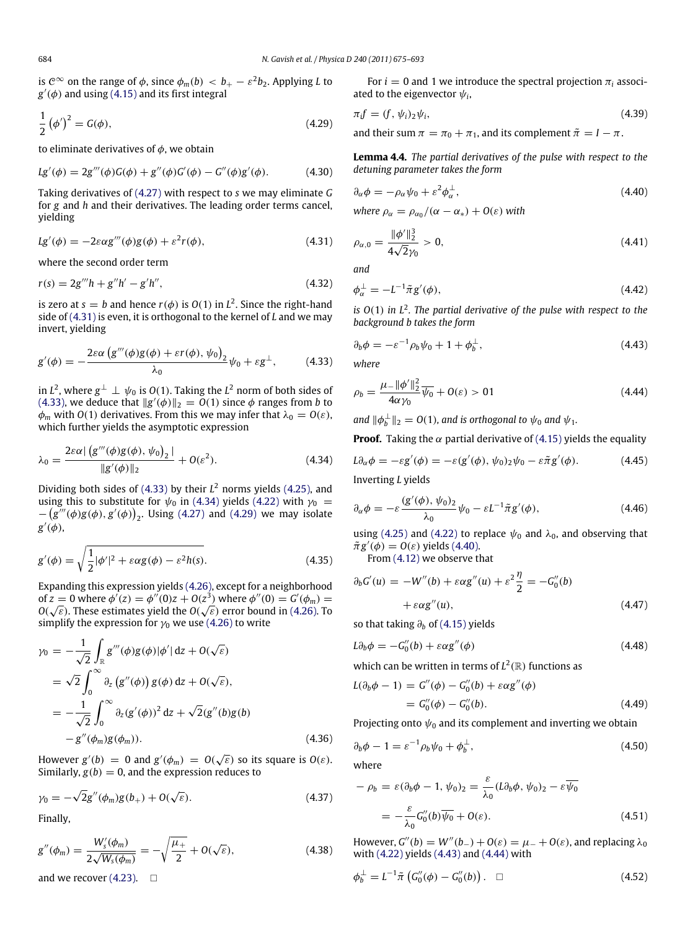is  $\mathcal{C}^{\infty}$  on the range of  $\phi$ , since  $\phi_m(b) \, <\, b_+ - \varepsilon^2 b_2.$  Applying *L* to  $g'(\phi)$  and using  $(4.15)$  and its first integral

$$
\frac{1}{2} \left( \phi' \right)^2 = G(\phi),\tag{4.29}
$$

to eliminate derivatives of  $\phi$ , we obtain

$$
Lg'(\phi) = 2g'''(\phi)G(\phi) + g''(\phi)G'(\phi) - G''(\phi)g'(\phi).
$$
 (4.30)

Taking derivatives of [\(4.27\)](#page-8-6) with respect to *s* we may eliminate *G* for *g* and *h* and their derivatives. The leading order terms cancel, yielding

$$
Lg'(\phi) = -2\varepsilon \alpha g'''(\phi)g(\phi) + \varepsilon^2 r(\phi), \tag{4.31}
$$

where the second order term

$$
r(s) = 2g'''h + g''h' - g'h'',
$$
\n(4.32)

is zero at  $s = b$  and hence  $r(\phi)$  is  $O(1)$  in  $L^2$ . Since the right-hand side of [\(4.31\)](#page-9-0) is even, it is orthogonal to the kernel of *L* and we may invert, yielding

$$
g'(\phi) = -\frac{2\varepsilon\alpha \left(g'''(\phi)g(\phi) + \varepsilon r(\phi), \psi_0\right)_2}{\lambda_0} \psi_0 + \varepsilon g^\perp,
$$
 (4.33)

in  $L^2$ , where  $g^\perp \perp \psi_0$  is  $O(1)$ . Taking the  $L^2$  norm of both sides of [\(4.33\),](#page-9-1) we deduce that  $||g'(\phi)||_2 = O(1)$  since  $\phi$  ranges from *b* to  $\phi_m$  with *O*(1) derivatives. From this we may infer that  $\lambda_0 = O(\varepsilon)$ , which further yields the asymptotic expression

$$
\lambda_0 = \frac{2\varepsilon\alpha \left| \left( g'''(\phi)g(\phi), \psi_0 \right)_2 \right|}{\|g'(\phi)\|_2} + O(\varepsilon^2). \tag{4.34}
$$

Dividing both sides of [\(4.33\)](#page-9-1) by their *L* <sup>2</sup> norms yields [\(4.25\),](#page-8-7) and using this to substitute for  $\psi_0$  in [\(4.34\)](#page-9-2) yields [\(4.22\)](#page-8-8) with  $\gamma_0$  = *–* (*g*<sup>*′′′*</sup>(*ϕ*)*g*(*ϕ*),*g*<sup>′</sup>(*ϕ*))<sub>2</sub>. Using [\(4.27\)](#page-8-6) and [\(4.29\)](#page-9-3) we may isolate *g* ′ (φ),

$$
g'(\phi) = \sqrt{\frac{1}{2}|\phi'|^2 + \varepsilon \alpha g(\phi) - \varepsilon^2 h(s)}.
$$
 (4.35)

Expanding this expression yields [\(4.26\),](#page-8-9) except for a neighborhood of  $z = 0$  where  $\phi'(z) = \phi''(0)z + O(z^3)$  where  $\phi''(0) = G'(\phi_m) =$  $O(\sqrt{\varepsilon})$ . These estimates yield the  $O(\sqrt{\varepsilon})$  error bound in [\(4.26\).](#page-8-9) To simplify the expression for  $\gamma_0$  we use [\(4.26\)](#page-8-9) to write

$$
\gamma_0 = -\frac{1}{\sqrt{2}} \int_{\mathbb{R}} g'''(\phi)g(\phi)|\phi'| \,dz + O(\sqrt{\varepsilon})
$$
  
\n
$$
= \sqrt{2} \int_0^\infty \partial_z (g''(\phi)) g(\phi) \,dz + O(\sqrt{\varepsilon}),
$$
  
\n
$$
= -\frac{1}{\sqrt{2}} \int_0^\infty \partial_z (g'(\phi))^2 \,dz + \sqrt{2}(g''(b)g(b))
$$
  
\n
$$
-g''(\phi_m)g(\phi_m)). \tag{4.36}
$$

However  $g'(b) = 0$  and  $g'(\phi_m) = O(\sqrt{b})$  $\overline{\varepsilon}$ ) so its square is  $O(\varepsilon)$ . Similarly,  $g(b) = 0$ , and the expression reduces to

$$
\gamma_0 = -\sqrt{2}g''(\phi_m)g(b_+) + O(\sqrt{\varepsilon}).
$$
\n(4.37)

Finally,

$$
g''(\phi_m) = \frac{W_s'(\phi_m)}{2\sqrt{W_s(\phi_m)}} = -\sqrt{\frac{\mu_+}{2}} + O(\sqrt{\varepsilon}),
$$
\n(4.38)

and we recover  $(4.23)$ .  $\Box$ 

For  $i = 0$  and 1 we introduce the spectral projection  $\pi_i$  associated to the eigenvector  $\psi_i$ ,

<span id="page-9-3"></span>
$$
\pi_i f = (f, \psi_i)_2 \psi_i,\tag{4.39}
$$

and their sum  $\pi = \pi_0 + \pi_1$ , and its complement  $\tilde{\pi} = I - \pi$ .

**Lemma 4.4.** *The partial derivatives of the pulse with respect to the detuning parameter takes the form*

$$
\partial_{\alpha}\phi = -\rho_{\alpha}\psi_0 + \varepsilon^2\phi_{\alpha}^{\perp},\tag{4.40}
$$

<span id="page-9-4"></span>*where*  $\rho_{\alpha} = \rho_{\alpha_0}/(\alpha - \alpha_*) + O(\varepsilon)$  *with* 

<span id="page-9-9"></span><span id="page-9-0"></span>
$$
\rho_{\alpha,0} = \frac{\|\phi'\|_2^3}{4\sqrt{2}\gamma_0} > 0, \tag{4.41}
$$

<span id="page-9-10"></span>*and*

$$
\phi_{\alpha}^{\perp} = -L^{-1}\tilde{\pi}g'(\phi),\tag{4.42}
$$

*is O*(1) *in L*<sup>2</sup> *. The partial derivative of the pulse with respect to the background b takes the form*

<span id="page-9-5"></span><span id="page-9-1"></span>
$$
\partial_b \phi = -\varepsilon^{-1} \rho_b \psi_0 + 1 + \phi_b^{\perp}, \tag{4.43}
$$

*where*

<span id="page-9-6"></span>
$$
\rho_b = \frac{\mu_- \|\phi'\|_2^2}{4\alpha \gamma_0} \overline{\psi_0} + O(\varepsilon) > 01 \tag{4.44}
$$

and  $\|\phi_b^{\perp}\|_2 = O(1)$ , and is orthogonal to  $\psi_0$  and  $\psi_1$ .

<span id="page-9-2"></span>**Proof.** Taking the  $\alpha$  partial derivative of [\(4.15\)](#page-8-3) yields the equality

<span id="page-9-8"></span>
$$
L\partial_{\alpha}\phi = -\varepsilon g'(\phi) = -\varepsilon (g'(\phi), \psi_0)_2 \psi_0 - \varepsilon \tilde{\pi} g'(\phi).
$$
 (4.45)

Inverting *L* yields

$$
\partial_{\alpha}\phi = -\varepsilon \frac{(g'(\phi), \psi_0)_2}{\lambda_0} \psi_0 - \varepsilon L^{-1} \tilde{\pi} g'(\phi), \tag{4.46}
$$

<span id="page-9-7"></span>using [\(4.25\)](#page-8-7) and [\(4.22\)](#page-8-8) to replace  $\psi_0$  and  $\lambda_0$ , and observing that  $\tilde{\pi}g'(\phi) = O(\varepsilon)$  yields [\(4.40\).](#page-9-4)

From [\(4.12\)](#page-8-11) we observe that

$$
\partial_b G'(u) = -W''(b) + \varepsilon \alpha g''(u) + \varepsilon^2 \frac{\eta}{2} = -G''_0(b) + \varepsilon \alpha g''(u),
$$
\n(4.47)

so that taking ∂*<sup>b</sup>* of [\(4.15\)](#page-8-3) yields

$$
L\partial_b \phi = -G_0''(b) + \varepsilon \alpha g''(\phi) \tag{4.48}
$$

which can be written in terms of  $L^2(\mathbb{R})$  functions as

$$
L(\partial_b \phi - 1) = G''(\phi) - G''_0(b) + \varepsilon \alpha g''(\phi)
$$
  
= G''\_0(\phi) - G''\_0(b). (4.49)

Projecting onto  $\psi_0$  and its complement and inverting we obtain

$$
\partial_b \phi - 1 = \varepsilon^{-1} \rho_b \psi_0 + \phi_b^{\perp}, \tag{4.50}
$$

where

$$
-\rho_b = \varepsilon (\partial_b \phi - 1, \psi_0)_2 = \frac{\varepsilon}{\lambda_0} (L \partial_b \phi, \psi_0)_2 - \varepsilon \overline{\psi_0}
$$
  
= 
$$
-\frac{\varepsilon}{\lambda_0} G_0''(b) \overline{\psi_0} + O(\varepsilon).
$$
 (4.51)

However,  $G''(b) = W''(b_-) + O(\varepsilon) = \mu_- + O(\varepsilon)$ , and replacing  $\lambda_0$ with [\(4.22\)](#page-8-8) yields [\(4.43\)](#page-9-5) and [\(4.44\)](#page-9-6) with

$$
\phi_b^{\perp} = L^{-1} \tilde{\pi} \left( G_0''(\phi) - G_0''(b) \right). \quad \Box \tag{4.52}
$$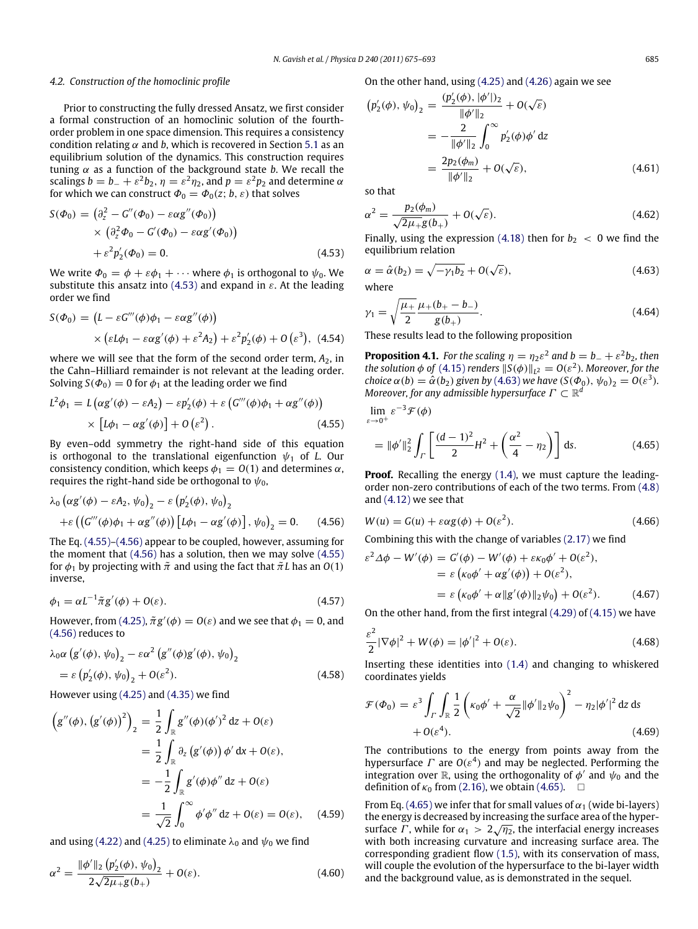#### *4.2. Construction of the homoclinic profile*

Prior to constructing the fully dressed Ansatz, we first consider a formal construction of an homoclinic solution of the fourthorder problem in one space dimension. This requires a consistency condition relating  $\alpha$  and *b*, which is recovered in Section [5.1](#page-12-0) as an equilibrium solution of the dynamics. This construction requires tuning  $\alpha$  as a function of the background state *b*. We recall the scalings  $b = b_- + \varepsilon^2 b_2$ ,  $\eta = \varepsilon^2 \eta_2$ , and  $p = \varepsilon^2 p_2$  and determine  $\alpha$ for which we can construct  $\Phi_0 = \Phi_0(z; b, \varepsilon)$  that solves

$$
S(\Phi_0) = (\partial_z^2 - G''(\Phi_0) - \varepsilon \alpha g''(\Phi_0))
$$
  
 
$$
\times (\partial_z^2 \Phi_0 - G'(\Phi_0) - \varepsilon \alpha g'(\Phi_0))
$$
  
 
$$
+ \varepsilon^2 p_2'(\Phi_0) = 0.
$$
 (4.53)

We write  $\Phi_0 = \phi + \varepsilon \phi_1 + \cdots$  where  $\phi_1$  is orthogonal to  $\psi_0$ . We substitute this ansatz into [\(4.53\)](#page-10-2) and expand in  $\varepsilon$ . At the leading order we find

$$
S(\Phi_0) = (L - \varepsilon G'''(\phi)\phi_1 - \varepsilon \alpha g''(\phi))
$$
  
 
$$
\times (\varepsilon L\phi_1 - \varepsilon \alpha g'(\phi) + \varepsilon^2 A_2) + \varepsilon^2 p'_2(\phi) + O(\varepsilon^3),
$$
 (4.54)

where we will see that the form of the second order term,  $A_2$ , in the Cahn–Hilliard remainder is not relevant at the leading order. Solving  $S(\Phi_0) = 0$  for  $\phi_1$  at the leading order we find

$$
L^{2}\phi_{1} = L(\alpha g'(\phi) - \varepsilon A_{2}) - \varepsilon p'_{2}(\phi) + \varepsilon (G'''(\phi)\phi_{1} + \alpha g''(\phi))
$$
  
 
$$
\times [L\phi_{1} - \alpha g'(\phi)] + O(\varepsilon^{2}). \qquad (4.55)
$$

By even–odd symmetry the right-hand side of this equation is orthogonal to the translational eigenfunction  $\psi_1$  of *L*. Our consistency condition, which keeps  $\phi_1 = O(1)$  and determines  $\alpha$ , requires the right-hand side be orthogonal to  $\psi_0$ ,

$$
\lambda_0 \left( \alpha g'(\phi) - \varepsilon A_2, \psi_0 \right)_2 - \varepsilon \left( p'_2(\phi), \psi_0 \right)_2
$$
  
+
$$
\varepsilon \left( \left( G'''(\phi)\phi_1 + \alpha g''(\phi) \right) \left[ L\phi_1 - \alpha g'(\phi) \right], \psi_0 \right)_2 = 0. \quad (4.56)
$$

The Eq. [\(4.55\)](#page-10-3)[–\(4.56\)](#page-10-4) appear to be coupled, however, assuming for the moment that [\(4.56\)](#page-10-4) has a solution, then we may solve [\(4.55\)](#page-10-3) for  $\phi_1$  by projecting with  $\tilde{\pi}$  and using the fact that  $\tilde{\pi}$ *L* has an *O*(1) inverse,

$$
\phi_1 = \alpha L^{-1} \tilde{\pi} g'(\phi) + O(\varepsilon). \tag{4.57}
$$

However, from [\(4.25\),](#page-8-7)  $\tilde{\pi}g'(\phi) = O(\varepsilon)$  and we see that  $\phi_1 = 0$ , and [\(4.56\)](#page-10-4) reduces to

$$
\lambda_0 \alpha \left( g'(\phi), \psi_0 \right)_2 - \varepsilon \alpha^2 \left( g''(\phi) g'(\phi), \psi_0 \right)_2
$$
  
=  $\varepsilon \left( p'_2(\phi), \psi_0 \right)_2 + O(\varepsilon^2).$  (4.58)

However using [\(4.25\)](#page-8-7) and [\(4.35\)](#page-9-7) we find

$$
\left(g''(\phi), (g'(\phi))^2\right)_2 = \frac{1}{2} \int_{\mathbb{R}} g''(\phi)(\phi')^2 dz + O(\varepsilon)
$$

$$
= \frac{1}{2} \int_{\mathbb{R}} \partial_z (g'(\phi)) \phi' dx + O(\varepsilon),
$$

$$
= -\frac{1}{2} \int_{\mathbb{R}} g'(\phi)\phi'' dz + O(\varepsilon)
$$

$$
= \frac{1}{\sqrt{2}} \int_0^\infty \phi' \phi'' dz + O(\varepsilon) = O(\varepsilon), \quad (4.59)
$$

and using [\(4.22\)](#page-8-8) and [\(4.25\)](#page-8-7) to eliminate  $\lambda_0$  and  $\psi_0$  we find

$$
\alpha^2 = \frac{\|\phi'\|_2 \left(p'_2(\phi), \psi_0\right)_2}{2\sqrt{2\mu_+ g}(b_+)} + O(\varepsilon). \tag{4.60}
$$

On the other hand, using [\(4.25\)](#page-8-7) and [\(4.26\)](#page-8-9) again we see

$$
\left(p'_2(\phi), \psi_0\right)_2 = \frac{\left(p'_2(\phi), |\phi'\right|)_2}{\|\phi'\|_2} + O(\sqrt{\varepsilon})
$$
  
= 
$$
-\frac{2}{\|\phi'\|_2} \int_0^\infty p'_2(\phi) \phi' dz
$$
  
= 
$$
\frac{2p_2(\phi_m)}{\|\phi'\|_2} + O(\sqrt{\varepsilon}),
$$
 (4.61)

<span id="page-10-7"></span>so that

$$
\alpha^2 = \frac{p_2(\phi_m)}{\sqrt{2\mu_+ g(b_+)}} + O(\sqrt{\varepsilon}).
$$
\n(4.62)

<span id="page-10-2"></span>Finally, using the expression [\(4.18\)](#page-8-2) then for  $b_2 < 0$  we find the equilibrium relation

<span id="page-10-5"></span>
$$
\alpha = \hat{\alpha}(b_2) = \sqrt{-\gamma_1 b_2} + O(\sqrt{\varepsilon}),
$$
\nwhere

$$
\gamma_1 = \sqrt{\frac{\mu_+}{2}} \frac{\mu_+(b_+ - b_-)}{g(b_+)}.
$$
\n(4.64)

These results lead to the following proposition

<span id="page-10-0"></span>**Proposition 4.1.** *For the scaling*  $\eta = \eta_2 \varepsilon^2$  and  $b = b_- + \varepsilon^2 b_2$ *, then the solution*  $\phi$  *of* [\(4.15\)](#page-8-3) *renders*  $\|S(\phi)\|_{L^2} = O(\varepsilon^2)$ *. Moreover, for the choice*  $\alpha(b) = \hat{\alpha}(b_2)$  *given by* [\(4.63\)](#page-10-5) *we have*  $(S(\Phi_0), \psi_0)_2 = O(\varepsilon^3)$ *. Moreover, for any admissible hypersurface*  $\Gamma \subset \mathbb{R}^d$ 

<span id="page-10-3"></span><span id="page-10-1"></span>
$$
\lim_{\varepsilon \to 0^+} \varepsilon^{-3} \mathcal{F}(\phi)
$$
  
=  $\|\phi'\|_2^2 \int_{\Gamma} \left[ \frac{(d-1)^2}{2} H^2 + \left( \frac{\alpha^2}{4} - \eta_2 \right) \right] ds.$  (4.65)

**Proof.** Recalling the energy [\(1.4\),](#page-1-0) we must capture the leadingorder non-zero contributions of each of the two terms. From [\(4.8\)](#page-7-8) and [\(4.12\)](#page-8-11) we see that

<span id="page-10-4"></span>
$$
W(u) = G(u) + \varepsilon \alpha g(\phi) + O(\varepsilon^2). \tag{4.66}
$$

Combining this with the change of variables [\(2.17\)](#page-4-6) we find

$$
\varepsilon^2 \Delta \phi - W'(\phi) = G'(\phi) - W'(\phi) + \varepsilon \kappa_0 \phi' + O(\varepsilon^2),
$$
  
=  $\varepsilon (\kappa_0 \phi' + \alpha g'(\phi)) + O(\varepsilon^2),$   
=  $\varepsilon (\kappa_0 \phi' + \alpha ||g'(\phi)||_2 \psi_0) + O(\varepsilon^2).$  (4.67)

On the other hand, from the first integral [\(4.29\)](#page-9-3) of [\(4.15\)](#page-8-3) we have

$$
\frac{\varepsilon^2}{2} |\nabla \phi|^2 + W(\phi) = |\phi'|^2 + O(\varepsilon).
$$
 (4.68)

<span id="page-10-6"></span>Inserting these identities into [\(1.4\)](#page-1-0) and changing to whiskered coordinates yields

$$
\mathcal{F}(\Phi_0) = \varepsilon^3 \int_{\Gamma} \int_{\mathbb{R}} \frac{1}{2} \left( \kappa_0 \phi' + \frac{\alpha}{\sqrt{2}} ||\phi'||_2 \psi_0 \right)^2 - \eta_2 |\phi'|^2 \, dz \, ds
$$
  
+ O(\varepsilon^4). \tag{4.69}

The contributions to the energy from points away from the hypersurface  $\Gamma$  are  $O(\varepsilon^4)$  and may be neglected. Performing the integration over  $\mathbb R$ , using the orthogonality of  $\phi'$  and  $\psi_0$  and the definition of  $\kappa_0$  from [\(2.16\),](#page-4-3) we obtain [\(4.65\).](#page-10-1)  $\Box$ 

From Eq. [\(4.65\)](#page-10-1) we infer that for small values of  $\alpha_1$  (wide bi-layers) the energy is decreased by increasing the surface area of the hyperthe energy is decreased by increasing the surface area of the hypersurface  $\varGamma$ , while for  $\alpha_1 > 2\sqrt{\eta_2}$ , the interfacial energy increases with both increasing curvature and increasing surface area. The corresponding gradient flow [\(1.5\),](#page-1-1) with its conservation of mass, will couple the evolution of the hypersurface to the bi-layer width and the background value, as is demonstrated in the sequel.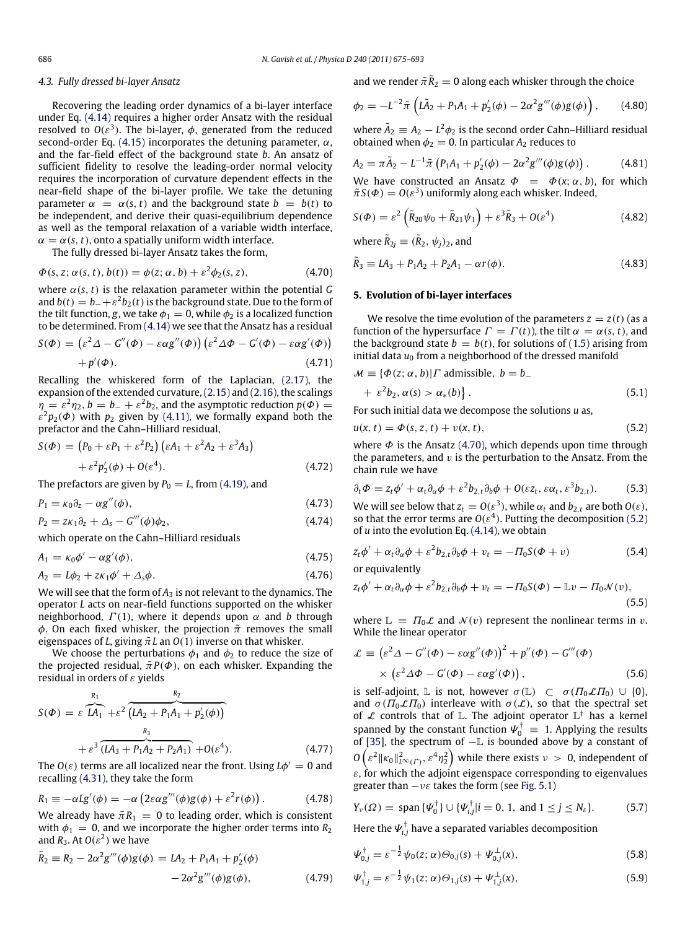#### *4.3. Fully dressed bi-layer Ansatz*

Recovering the leading order dynamics of a bi-layer interface under Eq. [\(4.14\)](#page-8-12) requires a higher order Ansatz with the residual resolved to  $O(\varepsilon^3)$ . The bi-layer,  $\phi$ , generated from the reduced second-order Eq. [\(4.15\)](#page-8-3) incorporates the detuning parameter,  $\alpha$ , and the far-field effect of the background state *b*. An ansatz of sufficient fidelity to resolve the leading-order normal velocity requires the incorporation of curvature dependent effects in the near-field shape of the bi-layer profile. We take the detuning parameter  $\alpha = \alpha(s, t)$  and the background state  $b = b(t)$  to be independent, and derive their quasi-equilibrium dependence as well as the temporal relaxation of a variable width interface,  $\alpha = \alpha(s, t)$ , onto a spatially uniform width interface.

The fully dressed bi-layer Ansatz takes the form,

$$
\Phi(s, z; \alpha(s, t), b(t)) = \phi(z; \alpha, b) + \varepsilon^2 \phi_2(s, z), \tag{4.70}
$$

where  $\alpha(s, t)$  is the relaxation parameter within the potential *G* and  $b(t) = b_- + \varepsilon^2 b_2(t)$  is the background state. Due to the form of the tilt function, *g*, we take  $\phi_1 = 0$ , while  $\phi_2$  is a localized function to be determined. From [\(4.14\)](#page-8-12) we see that the Ansatz has a residual

$$
S(\Phi) = ( \varepsilon^2 \Delta - G''(\Phi) - \varepsilon \alpha g''(\Phi) ) (\varepsilon^2 \Delta \Phi - G'(\Phi) - \varepsilon \alpha g'(\Phi) ) + p'(\Phi).
$$
 (4.71)

Recalling the whiskered form of the Laplacian, [\(2.17\),](#page-4-6) the expansion of the extended curvature,[\(2.15\)](#page-4-5) and [\(2.16\),](#page-4-3) the scalings  $\eta = \varepsilon^2 \eta_2$ ,  $b = b_- + \varepsilon^2 b_2$ , and the asymptotic reduction  $p(\Phi) =$  $\varepsilon^2 p_2(\varPhi)$  with  $p_2$  given by [\(4.11\),](#page-7-7) we formally expand both the prefactor and the Cahn–Hilliard residual,

$$
S(\Phi) = (P_0 + \varepsilon P_1 + \varepsilon^2 P_2) (\varepsilon A_1 + \varepsilon^2 A_2 + \varepsilon^3 A_3)
$$
  
+ 
$$
\varepsilon^2 p_2'(\phi) + O(\varepsilon^4).
$$
 (4.72)

The prefactors are given by  $P_0 = L$ , from [\(4.19\),](#page-8-5) and

$$
P_1 = \kappa_0 \partial_z - \alpha g''(\phi), \tag{4.73}
$$

$$
P_2 = z\kappa_1 \partial_z + \Delta_s - G'''(\phi)\phi_2, \qquad (4.74)
$$

*P***<sub>1</sub>**  $\frac{1}{2}$   $\frac{1}{2}$   $\frac{1}{2}$   $\frac{1}{2}$   $\frac{1}{2}$   $\frac{1}{2}$   $\frac{1}{2}$   $\frac{1}{2}$   $\frac{1}{2}$   $\frac{1}{2}$   $\frac{1}{2}$ 

which operate on the Cahn–Hilliard residuals

$$
A_1 = \kappa_0 \phi' - \alpha g'(\phi),\tag{4.75}
$$

$$
A_2 = L\phi_2 + z\kappa_1\phi' + \Delta_s\phi. \tag{4.76}
$$

We will see that the form of  $A_3$  is not relevant to the dynamics. The operator *L* acts on near-field functions supported on the whisker neighborhood,  $\Gamma(1)$ , where it depends upon  $\alpha$  and *b* through φ. On each fixed whisker, the projection  $\tilde{\pi}$  removes the small eigenspaces of *L*, giving  $\tilde{\pi}L$  an  $O(1)$  inverse on that whisker.

We choose the perturbations  $\phi_1$  and  $\phi_2$  to reduce the size of the projected residual,  $\tilde{\pi}P(\Phi)$ , on each whisker. Expanding the residual in orders of  $\varepsilon$  yields

$$
S(\Phi) = \varepsilon \overbrace{LA_1 + \varepsilon^2}^{R_1} \overbrace{(LA_2 + P_1A_1 + p'_2(\phi))}^{R_2} + \varepsilon^3 \overbrace{(LA_3 + P_1A_2 + P_2A_1)}^{R_3} + O(\varepsilon^4). \tag{4.77}
$$

The  $O(\varepsilon)$  terms are all localized near the front. Using  $L\phi' = 0$  and recalling [\(4.31\),](#page-9-0) they take the form

$$
R_1 \equiv -\alpha Lg'(\phi) = -\alpha \left(2\varepsilon \alpha g'''(\phi)g(\phi) + \varepsilon^2 r(\phi)\right). \tag{4.78}
$$

We already have  $\tilde{\pi}R_1 = 0$  to leading order, which is consistent with  $\phi_1 = 0$ , and we incorporate the higher order terms into  $R_2$ and  $R_3$ . At  $O(\varepsilon^2)$  we have

$$
\tilde{R}_2 \equiv R_2 - 2\alpha^2 g'''(\phi)g(\phi) = IA_2 + P_1A_1 + p'_2(\phi) - 2\alpha^2 g'''(\phi)g(\phi),
$$
\n(4.79)

<span id="page-11-12"></span>and we render  $\tilde{\pi} \tilde{R}_2 = 0$  along each whisker through the choice

$$
\phi_2 = -L^{-2}\tilde{\pi}\left(L\tilde{A}_2 + P_1A_1 + p'_2(\phi) - 2\alpha^2 g'''(\phi)g(\phi)\right),\qquad(4.80)
$$

where  $\tilde{A}_2 \equiv A_2 - L^2 \phi_2$  is the second order Cahn–Hilliard residual obtained when  $\phi_2 = 0$ . In particular  $A_2$  reduces to

$$
A_2 = \pi \tilde{A}_2 - L^{-1} \tilde{\pi} \left( P_1 A_1 + p_2'(\phi) - 2\alpha^2 g'''(\phi) g(\phi) \right). \tag{4.81}
$$

We have constructed an Ansatz  $\Phi = \Phi(x; \alpha, b)$ , for which  $\tilde{\pi}S(\Phi) = O(\varepsilon^3)$  uniformly along each whisker. Indeed,

$$
S(\Phi) = \varepsilon^2 \left( \tilde{R}_{20} \psi_0 + \tilde{R}_{21} \psi_1 \right) + \varepsilon^3 \tilde{R}_3 + O(\varepsilon^4)
$$
\n(4.82)

<span id="page-11-2"></span>where  $\tilde{R}_{2j} \equiv (\tilde{R}_2, \psi_j)_2$ , and

<span id="page-11-0"></span>
$$
\tilde{R}_3 \equiv LA_3 + P_1 A_2 + P_2 A_1 - \alpha r(\phi). \tag{4.83}
$$

## <span id="page-11-9"></span>**5. Evolution of bi-layer interfaces**

We resolve the time evolution of the parameters  $z = z(t)$  (as a function of the hypersurface  $\Gamma = \Gamma(t)$ , the tilt  $\alpha = \alpha(s, t)$ , and the background state  $b = b(t)$ , for solutions of [\(1.5\)](#page-1-1) arising from initial data  $u_0$  from a neighborhood of the dressed manifold

<span id="page-11-3"></span>
$$
\mathcal{M} \equiv \{ \Phi(z; \alpha, b) | \Gamma \text{ admissible, } b = b_{-} + \varepsilon^{2} b_{2}, \alpha(s) > \alpha_{*}(b) \}.
$$
\n(5.1)

<span id="page-11-1"></span>For such initial data we decompose the solutions *u* as,

$$
u(x, t) = \Phi(s, z, t) + v(x, t),
$$
\n(5.2)

where  $\Phi$  is the Ansatz [\(4.70\),](#page-11-0) which depends upon time through the parameters, and  $v$  is the perturbation to the Ansatz. From the chain rule we have

$$
\partial_t \Phi = z_t \phi' + \alpha_t \partial_\alpha \phi + \varepsilon^2 b_{2,t} \partial_b \phi + O(\varepsilon z_t, \varepsilon \alpha_t, \varepsilon^3 b_{2,t}). \tag{5.3}
$$

<span id="page-11-11"></span><span id="page-11-7"></span>We will see below that  $z_t = O(\varepsilon^3)$ , while  $\alpha_t$  and  $b_{2,t}$  are both  $O(\varepsilon)$ , so that the error terms are  $O(\varepsilon^4)$ . Putting the decomposition [\(5.2\)](#page-11-1) of *u* into the evolution Eq. [\(4.14\),](#page-8-12) we obtain

<span id="page-11-8"></span>
$$
z_t \phi' + \alpha_t \partial_\alpha \phi + \varepsilon^2 b_{2,t} \partial_b \phi + v_t = -\Pi_0 S(\Phi + v) \tag{5.4}
$$

<span id="page-11-10"></span>or equivalently

$$
z_t \phi' + \alpha_t \partial_\alpha \phi + \varepsilon^2 b_{2,t} \partial_b \phi + v_t = -\Pi_0 S(\Phi) - \mathbb{L}v - \Pi_0 \mathcal{N}(v),
$$
\n(5.5)

where  $\mathbb{L} = \Pi_0 \mathcal{L}$  and  $\mathcal{N}(v)$  represent the nonlinear terms in v. While the linear operator

$$
\mathcal{L} \equiv \left(\varepsilon^2 \Delta - G''(\Phi) - \varepsilon \alpha g''(\Phi)\right)^2 + p''(\Phi) - G'''(\Phi)
$$
  
 
$$
\times \left(\varepsilon^2 \Delta \Phi - G'(\Phi) - \varepsilon \alpha g'(\Phi)\right), \tag{5.6}
$$

is self-adjoint, L is not, however  $\sigma(L) \subset \sigma(\Pi_0 \mathcal{L} \Pi_0) \cup \{0\},$ and  $\sigma$ ( $\Pi_0 \mathcal{L} \Pi_0$ ) interleave with  $\sigma(\mathcal{L})$ , so that the spectral set of  $\mathcal L$  controls that of  $\mathbb L$ . The adjoint operator  $\mathbb L^\dagger$  has a kernel spanned by the constant function  $\Psi_0^{\dagger} \equiv 1$ . Applying the results of [\[35\]](#page-18-29), the spectrum of −L is bounded above by a constant of  $O\left(\varepsilon^2\|\kappa_0\|_{L^\infty(\varGamma)}^2,\varepsilon^4\eta_2^2\right)$  while there exists  $\nu\ >\ 0,$  independent of  $\varepsilon$ , for which the adjoint eigenspace corresponding to eigenvalues greater than  $-v\varepsilon$  takes the form (see [Fig. 5.1\)](#page-12-1)

$$
Y_{\nu}(\Omega) = \text{span}\,\{ \Psi_0^{\dagger} \} \cup \{ \Psi_{i,j}^{\dagger} | i = 0, 1, \text{ and } 1 \leq j \leq N_{\varepsilon} \}. \tag{5.7}
$$

Here the  $\boldsymbol{\varPsi}_{i,j}^{\dagger}$  have a separated variables decomposition

<span id="page-11-6"></span><span id="page-11-4"></span>
$$
\Psi_{0,j}^{\dagger} = \varepsilon^{-\frac{1}{2}} \psi_0(z; \alpha) \Theta_{0,j}(s) + \Psi_{0,j}^{\perp}(x), \tag{5.8}
$$

<span id="page-11-5"></span>
$$
\Psi_{1,j}^{\dagger} = \varepsilon^{-\frac{1}{2}} \psi_1(z; \alpha) \Theta_{1,j}(s) + \Psi_{1,j}^{\perp}(x), \tag{5.9}
$$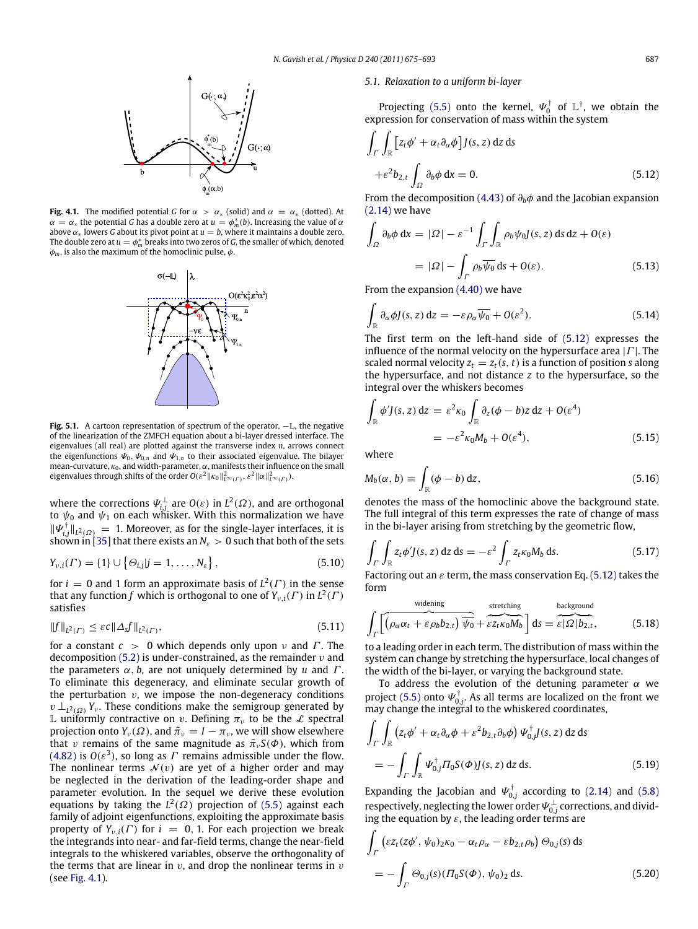<span id="page-12-2"></span>

<span id="page-12-1"></span>**Fig. 4.1.** The modified potential *G* for  $\alpha > \alpha_*$  (solid) and  $\alpha = \alpha_*$  (dotted). At  $\alpha = \alpha_*$  the potential *G* has a double zero at  $u = \phi_m^*(b)$ . Increasing the value of  $\alpha$ above  $\alpha_*$  lowers *G* about its pivot point at  $u = b$ , where it maintains a double zero. The double zero at  $u = \phi_m^*$  breaks into two zeros of  $G$ , the smaller of which, denoted  $\phi_m$ , is also the maximum of the homoclinic pulse,  $\phi$ .



**Fig. 5.1.** A cartoon representation of spectrum of the operator, −L, the negative of the linearization of the ZMFCH equation about a bi-layer dressed interface. The eigenvalues (all real) are plotted against the transverse index *n*, arrows connect the eigenfunctions  $\Psi_0$ ,  $\Psi_{0,n}$  and  $\Psi_{1,n}$  to their associated eigenvalue. The bilayer mean-curvature,  $\kappa_0$ , and width-parameter,  $\alpha$ , manifests their influence on the small eigenvalues through shifts of the order  $O(\varepsilon^2 \|\kappa_0\|_{L^\infty(\varGamma)}^2, \varepsilon^2 \|\alpha\|_{L^\infty(\varGamma)}^2)$ .

where the corrections  $\Psi_{i,j}^{\perp}$  are  $O(\varepsilon)$  in  $L^2(\varOmega)$ , and are orthogonal to  $\psi_0$  and  $\psi_1$  on each whisker. With this normalization we have  $\|\Psi_{i,j}^{\dagger}\|_{L^2(\Omega)} = 1$ . Moreover, as for the single-layer interfaces, it is shown in [\[35\]](#page-18-29) that there exists an  $N_{\epsilon} > 0$  such that both of the sets

$$
Y_{\nu,i}(\Gamma) = \{1\} \cup \{\Theta_{i,j} | j = 1, \ldots, N_{\varepsilon}\},\tag{5.10}
$$

for  $i = 0$  and 1 form an approximate basis of  $L^2(\Gamma)$  in the sense that any function  $f$  which is orthogonal to one of  $Y_{\nu,i}(\Gamma)$  in  $L^2(\Gamma)$ satisfies

$$
||f||_{L^{2}(\Gamma)} \leq \varepsilon c ||\Delta_{s}f||_{L^{2}(\Gamma)},
$$
\n(5.11)

for a constant  $c > 0$  which depends only upon  $\nu$  and  $\Gamma$ . The decomposition  $(5.2)$  is under-constrained, as the remainder  $v$  and the parameters  $\alpha$ , *b*, are not uniquely determined by *u* and *Γ*. To eliminate this degeneracy, and eliminate secular growth of the perturbation  $v$ , we impose the non-degeneracy conditions  $v \perp_{L^2(\Omega)} Y_v$ . These conditions make the semigroup generated by L uniformly contractive on v. Defining  $\pi_{\nu}$  to be the L spectral projection onto  $Y_\nu(\Omega)$ , and  $\tilde{\pi}_\nu = I - \pi_\nu$ , we will show elsewhere that v remains of the same magnitude as  $\tilde{\pi}_vS(\Phi)$ , which from [\(4.82\)](#page-11-2) is  $O(\varepsilon^3)$ , so long as  $\varGamma$  remains admissible under the flow. The nonlinear terms  $\mathcal{N}(v)$  are yet of a higher order and may be neglected in the derivation of the leading-order shape and parameter evolution. In the sequel we derive these evolution equations by taking the  $L^2(\Omega)$  projection of [\(5.5\)](#page-11-3) against each family of adjoint eigenfunctions, exploiting the approximate basis property of  $Y_{v,i}(\Gamma)$  for  $i = 0, 1$ . For each projection we break the integrands into near- and far-field terms, change the near-field integrals to the whiskered variables, observe the orthogonality of the terms that are linear in  $v$ , and drop the nonlinear terms in  $v$ (see [Fig. 4.1\)](#page-12-2).

#### <span id="page-12-0"></span>*5.1. Relaxation to a uniform bi-layer*

Projecting [\(5.5\)](#page-11-3) onto the kernel,  $\Psi_0^{\dagger}$  $\int_0^{\dagger}$  of  $\mathbb{L}^{\dagger}$ , we obtain the expression for conservation of mass within the system

<span id="page-12-3"></span>
$$
\int_{\Gamma} \int_{\mathbb{R}} \left[ z_t \phi' + \alpha_t \partial_{\alpha} \phi \right] J(s, z) \, \mathrm{d}z \, \mathrm{d}s
$$
\n
$$
+ \varepsilon^2 b_{2, t} \int_{\Omega} \partial_b \phi \, \mathrm{d}x = 0. \tag{5.12}
$$

From the decomposition [\(4.43\)](#page-9-5) of ∂*b*φ and the Jacobian expansion [\(2.14\)](#page-4-1) we have

$$
\int_{\Omega} \partial_b \phi \, dx = |\Omega| - \varepsilon^{-1} \int_{\Gamma} \int_{\mathbb{R}} \rho_b \psi_0 J(s, z) \, ds \, dz + O(\varepsilon)
$$
\n
$$
= |\Omega| - \int_{\Gamma} \rho_b \overline{\psi_0} \, ds + O(\varepsilon). \tag{5.13}
$$

From the expansion [\(4.40\)](#page-9-4) we have

$$
\int_{\mathbb{R}} \partial_{\alpha} \phi J(s, z) \, \mathrm{d}z = -\varepsilon \rho_{\alpha} \overline{\psi_0} + O(\varepsilon^2). \tag{5.14}
$$

The first term on the left-hand side of [\(5.12\)](#page-12-3) expresses the influence of the normal velocity on the hypersurface area  $|\Gamma|$ . The scaled normal velocity  $z_t = z_t(s, t)$  is a function of position *s* along the hypersurface, and not distance *z* to the hypersurface, so the integral over the whiskers becomes

$$
\int_{\mathbb{R}} \phi' J(s, z) dz = \varepsilon^2 \kappa_0 \int_{\mathbb{R}} \partial_z (\phi - b) z dz + O(\varepsilon^4)
$$
  
=  $-\varepsilon^2 \kappa_0 M_b + O(\varepsilon^4)$ , (5.15)

where

<span id="page-12-5"></span>
$$
M_b(\alpha, b) \equiv \int_{\mathbb{R}} (\phi - b) \, \mathrm{d}z,\tag{5.16}
$$

denotes the mass of the homoclinic above the background state. The full integral of this term expresses the rate of change of mass in the bi-layer arising from stretching by the geometric flow,

$$
\int_{\Gamma} \int_{\mathbb{R}} z_t \phi' J(s, z) \, \mathrm{d}z \, \mathrm{d}s = -\varepsilon^2 \int_{\Gamma} z_t \kappa_0 M_b \, \mathrm{d}s. \tag{5.17}
$$

Factoring out an  $\varepsilon$  term, the mass conservation Eq. [\(5.12\)](#page-12-3) takes the form

<span id="page-12-4"></span>
$$
\int_{\Gamma} \left[ \overbrace{\left( \rho_{\alpha} \alpha_{t} + \varepsilon \rho_{b} b_{2,t} \right) \overbrace{\psi_{0}}^{\text{stretching}} + \overbrace{\varepsilon z_{t} \kappa_{0} M_{b}}^{\text{stretching}} \right] \mathrm{d}s = \overbrace{\varepsilon | \Omega | b_{2,t}}^{\text{background}}, \tag{5.18}
$$

to a leading order in each term. The distribution of mass within the system can change by stretching the hypersurface, local changes of the width of the bi-layer, or varying the background state.

To address the evolution of the detuning parameter  $\alpha$  we project [\(5.5\)](#page-11-3) onto  $\Psi_{0,j}^{\dagger}$ . As all terms are localized on the front we may change the integral to the whiskered coordinates,

$$
\int_{\Gamma} \int_{\mathbb{R}} \left( z_t \phi' + \alpha_t \partial_\alpha \phi + \varepsilon^2 b_{2,t} \partial_b \phi \right) \Psi_{0,j}^{\dagger} J(s, z) \, dz \, ds
$$
\n
$$
= - \int_{\Gamma} \int_{\mathbb{R}} \Psi_{0,j}^{\dagger} \Pi_0 S(\Phi) J(s, z) \, dz \, ds. \tag{5.19}
$$

Expanding the Jacobian and  $\Psi_{0,j}^{\dagger}$  according to [\(2.14\)](#page-4-1) and [\(5.8\)](#page-11-4) respectively, neglecting the lower order  $\Psi_{0,j}^\perp$  corrections, and dividing the equation by  $\varepsilon$ , the leading order terms are

$$
\int_{\Gamma} \left( \varepsilon z_t (z \phi', \psi_0)_{2} \kappa_0 - \alpha_t \rho_\alpha - \varepsilon b_{2,t} \rho_b \right) \Theta_{0,j}(s) ds
$$
\n
$$
= - \int_{\Gamma} \Theta_{0,j}(s) (\Pi_0 S(\Phi), \psi_0)_2 ds. \tag{5.20}
$$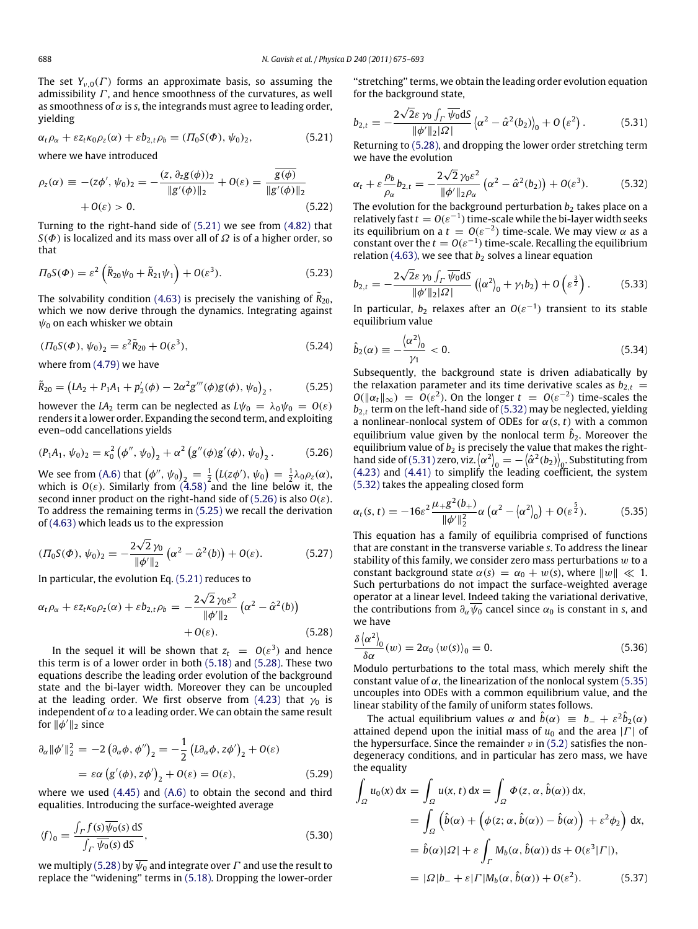The set  $Y_{\nu,0}(\Gamma)$  forms an approximate basis, so assuming the admissibility  $\Gamma$ , and hence smoothness of the curvatures, as well as smoothness of  $\alpha$  is *s*, the integrands must agree to leading order, yielding

$$
\alpha_t \rho_\alpha + \varepsilon z_t \kappa_0 \rho_z(\alpha) + \varepsilon b_{2,t} \rho_b = (\Pi_0 S(\Phi), \psi_0)_2, \tag{5.21}
$$

where we have introduced

$$
\rho_z(\alpha) \equiv -(z\phi', \psi_0)_2 = -\frac{(z, \partial_z g(\phi))_2}{\|g'(\phi)\|_2} + O(\varepsilon) = \frac{g(\phi)}{\|g'(\phi)\|_2} + O(\varepsilon) > 0. \tag{5.22}
$$

Turning to the right-hand side of [\(5.21\)](#page-13-1) we see from [\(4.82\)](#page-11-2) that *S*( $\Phi$ ) is localized and its mass over all of  $\Omega$  is of a higher order, so that

$$
\Pi_0 S(\Phi) = \varepsilon^2 \left( \tilde{R}_{20} \psi_0 + \tilde{R}_{21} \psi_1 \right) + O(\varepsilon^3). \tag{5.23}
$$

The solvability condition [\(4.63\)](#page-10-5) is precisely the vanishing of  $\tilde{R}_{20}$ , which we now derive through the dynamics. Integrating against  $\psi_0$  on each whisker we obtain

$$
(T_0S(\Phi), \psi_0)_2 = \varepsilon^2 \tilde{R}_{20} + O(\varepsilon^3), \tag{5.24}
$$

where from [\(4.79\)](#page-11-5) we have

$$
\tilde{R}_{20} = (LA_2 + P_1A_1 + p'_2(\phi) - 2\alpha^2 g'''(\phi)g(\phi), \psi_0)_2, \qquad (5.25)
$$

however the *LA*<sub>2</sub> term can be neglected as  $L\psi_0 = \lambda_0 \psi_0 = O(\varepsilon)$ renders it a lower order. Expanding the second term, and exploiting even–odd cancellations yields

$$
(P_1A_1, \psi_0)_2 = \kappa_0^2 (\phi'', \psi_0)_2 + \alpha^2 (g''(\phi)g'(\phi), \psi_0)_2.
$$
 (5.26)

We see from [\(A.6\)](#page-17-4) that  $(\phi'', \psi_0)_{2} = \frac{1}{2} (L(z\phi'), \psi_0) = \frac{1}{2} \lambda_0 \rho_z(\alpha)$ , which is  $O(\varepsilon)$ . Similarly from  $(4.58)$  and the line below it, the second inner product on the right-hand side of [\(5.26\)](#page-13-2) is also *O*(ε). To address the remaining terms in [\(5.25\)](#page-13-3) we recall the derivation of [\(4.63\)](#page-10-5) which leads us to the expression

$$
( \Pi_0 S(\Phi), \psi_0)_2 = -\frac{2\sqrt{2}\,\gamma_0}{\|\phi'\|_2} \left( \alpha^2 - \hat{\alpha}^2(b) \right) + O(\varepsilon). \tag{5.27}
$$

In particular, the evolution Eq. [\(5.21\)](#page-13-1) reduces to

$$
\alpha_t \rho_\alpha + \varepsilon z_t \kappa_0 \rho_z(\alpha) + \varepsilon b_{2,t} \rho_b = -\frac{2\sqrt{2} \gamma_0 \varepsilon^2}{\|\phi'\|_2} \left(\alpha^2 - \hat{\alpha}^2(b)\right) + O(\varepsilon).
$$
 (5.28)

In the sequel it will be shown that  $z_t = O(\varepsilon^3)$  and hence this term is of a lower order in both [\(5.18\)](#page-12-4) and [\(5.28\).](#page-13-4) These two equations describe the leading order evolution of the background state and the bi-layer width. Moreover they can be uncoupled at the leading order. We first observe from [\(4.23\)](#page-8-10) that  $\gamma_0$  is independent of  $\alpha$  to a leading order. We can obtain the same result for  $\|\phi'\|_2$  since

$$
\partial_{\alpha} ||\phi'||_2^2 = -2 \left( \partial_{\alpha} \phi, \phi'' \right)_2 = -\frac{1}{2} \left( L \partial_{\alpha} \phi, z \phi' \right)_2 + O(\varepsilon)
$$

$$
= \varepsilon \alpha \left( g'(\phi), z \phi' \right)_2 + O(\varepsilon) = O(\varepsilon), \tag{5.29}
$$

where we used [\(4.45\)](#page-9-8) and [\(A.6\)](#page-17-4) to obtain the second and third equalities. Introducing the surface-weighted average

$$
\langle f \rangle_0 = \frac{\int_{\Gamma} f(s) \overline{\psi_0}(s) \, \text{d}S}{\int_{\Gamma} \overline{\psi_0}(s) \, \text{d}S},\tag{5.30}
$$

we multiply [\(5.28\)](#page-13-4) by  $\overline{\psi_0}$  and integrate over  $\Gamma$  and use the result to replace the ''widening'' terms in [\(5.18\).](#page-12-4) Dropping the lower-order ''stretching'' terms, we obtain the leading order evolution equation for the background state, √

<span id="page-13-6"></span>
$$
b_{2,t} = -\frac{2\sqrt{2}\varepsilon\gamma_0\int_{\Gamma}\overline{\psi_0}dS}{\|\phi'\|_2|\Omega|}\left(\alpha^2 - \hat{\alpha}^2(b_2)\right)_0 + O\left(\varepsilon^2\right). \tag{5.31}
$$

<span id="page-13-1"></span>Returning to [\(5.28\),](#page-13-4) and dropping the lower order stretching term we have the evolution √

<span id="page-13-5"></span>
$$
\alpha_t + \varepsilon \frac{\rho_b}{\rho_\alpha} b_{2,t} = -\frac{2\sqrt{2}\gamma_0 \varepsilon^2}{\|\phi'\|_2 \rho_\alpha} \left(\alpha^2 - \hat{\alpha}^2(b_2)\right) + O(\varepsilon^3). \tag{5.32}
$$

<span id="page-13-7"></span>The evolution for the background perturbation  $b<sub>2</sub>$  takes place on a relatively fast  $t = O(\varepsilon^{-1})$  time-scale while the bi-layer width seeks its equilibrium on a  $t = O(\varepsilon^{-2})$  time-scale. We may view  $\alpha$  as a constant over the  $t = O(\varepsilon^{-1})$  time-scale. Recalling the equilibrium relation [\(4.63\),](#page-10-5) we see that  $b_2$  solves a linear equation √

<span id="page-13-8"></span>
$$
b_{2,t} = -\frac{2\sqrt{2\varepsilon \gamma_0 \int_{\Gamma} \overline{\psi_0} dS}}{\|\phi'\|_2 |\Omega|} \left( \langle \alpha^2 \rangle_0 + \gamma_1 b_2 \right) + O\left(\varepsilon^{\frac{3}{2}}\right). \tag{5.33}
$$

In particular,  $b_2$  relaxes after an  $O(\varepsilon^{-1})$  transient to its stable equilibrium value

<span id="page-13-9"></span>
$$
\hat{b}_2(\alpha) \equiv -\frac{\langle \alpha^2 \rangle_0}{\gamma_1} < 0. \tag{5.34}
$$

<span id="page-13-3"></span>Subsequently, the background state is driven adiabatically by the relaxation parameter and its time derivative scales as  $b_{2,t}$  =  $O(||\alpha_t||_{\infty}) = O(\varepsilon^2)$ . On the longer  $t = O(\varepsilon^{-2})$  time-scales the *b*2,*<sup>t</sup>* term on the left-hand side of [\(5.32\)](#page-13-5) may be neglected, yielding a nonlinear-nonlocal system of ODEs for  $\alpha(s, t)$  with a common equilibrium value given by the nonlocal term  $\hat{b}_2$ . Moreover the equilibrium value of  $b_2$  is precisely the value that makes the right-hand side of [\(5.31\)](#page-13-6) zero, viz.  $\langle \alpha^2 \rangle_0 = -\langle \hat{\alpha}^2(b_2) \rangle_0$ . Substituting from [\(4.23\)](#page-8-10) and [\(4.41\)](#page-9-9) to simplify the leading coefficient, the system [\(5.32\)](#page-13-5) takes the appealing closed form

<span id="page-13-2"></span><span id="page-13-0"></span>
$$
\alpha_t(s,t) = -16\varepsilon^2 \frac{\mu_+ g^2(b_+)}{\|\phi'\|_2^2} \alpha \left(\alpha^2 - \langle\alpha^2\rangle_0\right) + O(\varepsilon^{\frac{5}{2}}). \tag{5.35}
$$

This equation has a family of equilibria comprised of functions that are constant in the transverse variable *s*. To address the linear stability of this family, we consider zero mass perturbations  $w$  to a constant background state  $\alpha(s) = \alpha_0 + w(s)$ , where  $||w|| \ll 1$ . Such perturbations do not impact the surface-weighted average operator at a linear level. Indeed taking the variational derivative, the contributions from  $\partial_{\alpha} \psi_0$  cancel since  $\alpha_0$  is constant in *s*, and we have

<span id="page-13-4"></span>
$$
\frac{\delta \left\langle \alpha^2 \right\rangle_0}{\delta \alpha}(w) = 2\alpha_0 \left\langle w(s) \right\rangle_0 = 0. \tag{5.36}
$$

Modulo perturbations to the total mass, which merely shift the constant value of  $\alpha$ , the linearization of the nonlocal system [\(5.35\)](#page-13-0) uncouples into ODEs with a common equilibrium value, and the linear stability of the family of uniform states follows.

The actual equilibrium values  $\alpha$  and  $\hat{b}(\alpha) \equiv b_- + \varepsilon^2 \hat{b}_2(\alpha)$ attained depend upon the initial mass of *u*<sup>0</sup> and the area |Γ | of the hypersurface. Since the remainder  $v$  in [\(5.2\)](#page-11-1) satisfies the nondegeneracy conditions, and in particular has zero mass, we have the equality

$$
\int_{\Omega} u_0(x) dx = \int_{\Omega} u(x, t) dx = \int_{\Omega} \Phi(z, \alpha, \hat{b}(\alpha)) dx,
$$
  
\n
$$
= \int_{\Omega} (\hat{b}(\alpha) + (\phi(z; \alpha, \hat{b}(\alpha)) - \hat{b}(\alpha)) + \varepsilon^2 \phi_2) dx,
$$
  
\n
$$
= \hat{b}(\alpha) |\Omega| + \varepsilon \int_{\Gamma} M_b(\alpha, \hat{b}(\alpha)) ds + O(\varepsilon^3 |\Gamma|),
$$
  
\n
$$
= |\Omega| b_- + \varepsilon |\Gamma| M_b(\alpha, \hat{b}(\alpha)) + O(\varepsilon^2).
$$
 (5.37)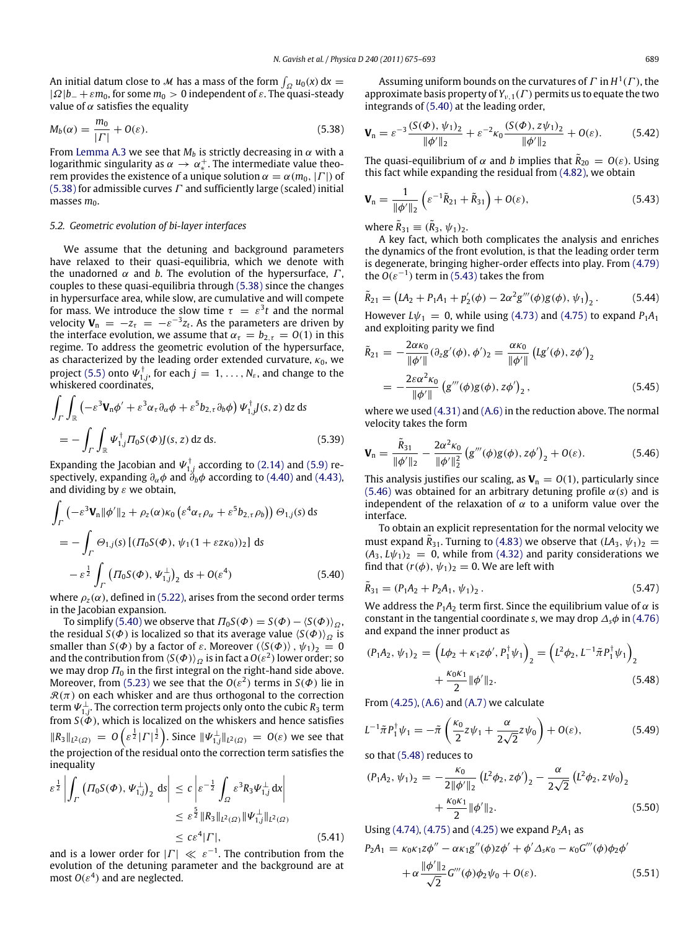An initial datum close to *M* has a mass of the form  $\int_{\Omega} u_0(x) dx =$  $|\Omega|b_{-} + \varepsilon m_0$ , for some  $m_0 > 0$  independent of  $\varepsilon$ . The quasi-steady value of  $\alpha$  satisfies the equality

$$
M_b(\alpha) = \frac{m_0}{|\Gamma|} + O(\varepsilon). \tag{5.38}
$$

From [Lemma A.3](#page-17-5) we see that  $M_b$  is strictly decreasing in  $\alpha$  with a logarithmic singularity as  $\alpha \to \alpha_*^+$ . The intermediate value theorem provides the existence of a unique solution  $\alpha = \alpha(m_0, |\Gamma|)$  of [\(5.38\)](#page-14-0) for admissible curves  $\Gamma$  and sufficiently large (scaled) initial masses  $m_0$ .

### *5.2. Geometric evolution of bi-layer interfaces*

We assume that the detuning and background parameters have relaxed to their quasi-equilibria, which we denote with the unadorned  $\alpha$  and *b*. The evolution of the hypersurface,  $\Gamma$ , couples to these quasi-equilibria through [\(5.38\)](#page-14-0) since the changes in hypersurface area, while slow, are cumulative and will compete for mass. We introduce the slow time  $\tau = \varepsilon^3 t$  and the normal velocity  $\mathbf{V}_n = -z_\tau = -\varepsilon^{-3} z_t$ . As the parameters are driven by the interface evolution, we assume that  $\alpha_{\tau} = b_{2,\tau} = O(1)$  in this regime. To address the geometric evolution of the hypersurface, as characterized by the leading order extended curvature,  $\kappa_0$ , we project [\(5.5\)](#page-11-3) onto  $\Psi^{\dagger}_{1,j}$ , for each  $j = 1, \ldots, N_{\varepsilon}$ , and change to the whiskered coordinates,

$$
\int_{\Gamma} \int_{\mathbb{R}} \left( -\varepsilon^{3} \mathbf{V}_{n} \phi' + \varepsilon^{3} \alpha_{\tau} \partial_{\alpha} \phi + \varepsilon^{5} b_{2,\tau} \partial_{b} \phi \right) \Psi_{1,j}^{\dagger} J(s, z) \, dz \, ds
$$
\n
$$
= - \int_{\Gamma} \int_{\mathbb{R}} \Psi_{1,j}^{\dagger} \Pi_{0} S(\Phi) J(s, z) \, dz \, ds. \tag{5.39}
$$

Expanding the Jacobian and  $\varPsi_{1,j}^\dagger$  according to [\(2.14\)](#page-4-1) and [\(5.9\)](#page-11-6) respectively, expanding  $\partial_\alpha \phi$  and  $\partial_b \phi$  according to [\(4.40\)](#page-9-4) and [\(4.43\),](#page-9-5) and dividing by  $\varepsilon$  we obtain,

$$
\int_{\Gamma} \left( -\varepsilon^{3} \mathbf{V}_{n} \|\phi^{\prime}\|_{2} + \rho_{z}(\alpha) \kappa_{0} \left( \varepsilon^{4} \alpha_{\tau} \rho_{\alpha} + \varepsilon^{5} b_{2,\tau} \rho_{b} \right) \right) \Theta_{1,j}(s) ds
$$
\n
$$
= -\int_{\Gamma} \Theta_{1,j}(s) \left[ ( \Pi_{0} S(\Phi), \psi_{1} (1 + \varepsilon z \kappa_{0}) )_{2} \right] ds
$$
\n
$$
- \varepsilon^{1/2} \int_{\Gamma} \left( \Pi_{0} S(\Phi), \psi_{1,j}^{\perp} \right)_{2} ds + O(\varepsilon^{4}) \tag{5.40}
$$

where  $\rho_z(\alpha)$ , defined in [\(5.22\),](#page-13-7) arises from the second order terms in the Jacobian expansion.

To simplify [\(5.40\)](#page-14-1) we observe that  $\Pi_0S(\Phi) = S(\Phi) - \langle S(\Phi) \rangle_{\Omega}$ , the residual *S*( $\Phi$ ) is localized so that its average value  $\langle S(\Phi) \rangle_{\Omega}$  is smaller than *S*( $\Phi$ ) by a factor of  $\varepsilon$ . Moreover  $(\langle S(\Phi) \rangle, \psi_1)_2 = 0$ and the contribution from  $\langle S(\varPhi) \rangle_{\varOmega}$  is in fact a  $O(\varepsilon^2)$  lower order; so we may drop  $\Pi_0$  in the first integral on the right-hand side above. Moreover, from [\(5.23\)](#page-13-8) we see that the  $O(\varepsilon^2)$  terms in  $S(\Phi)$  lie in  $\mathcal{R}(\pi)$  on each whisker and are thus orthogonal to the correction term  $\Psi_{1,j}^\perp$ . The correction term projects only onto the cubic  $R_3$  term from  $S(\Phi)$ , which is localized on the whiskers and hence satisfies  $\|R_3\|_{L^2(\Omega)} \ = \ O\left(\varepsilon^{\frac{1}{2}}|{\varGamma}|^{\frac{1}{2}}\right)$ . Since  $\|\Psi_{1,j}^{\perp}\|_{L^2(\Omega)} \ = \ O(\varepsilon)$  we see that the projection of the residual onto the correction term satisfies the inequality

$$
\varepsilon^{\frac{1}{2}} \left| \int_{\Gamma} \left( \Pi_0 S(\varPhi), \Psi_{1,j}^{\perp} \right)_2 \, \mathrm{d}s \right| \leq c \left| \varepsilon^{-\frac{1}{2}} \int_{\Omega} \varepsilon^3 R_3 \Psi_{1,j}^{\perp} \, \mathrm{d}x \right|
$$
  

$$
\leq \varepsilon^{\frac{5}{2}} \| R_3 \|_{L^2(\Omega)} \| \Psi_{1,j}^{\perp} \|_{L^2(\Omega)}
$$
  

$$
\leq c \varepsilon^4 |\Gamma|, \tag{5.41}
$$

and is a lower order for  $|\Gamma| \ll \varepsilon^{-1}$ . The contribution from the evolution of the detuning parameter and the background are at most  $O(\varepsilon^4)$  and are neglected.

Assuming uniform bounds on the curvatures of  $\Gamma$  in  $H^1(\Gamma)$ , the approximate basis property of  $Y_{v,1}(\Gamma)$  permits us to equate the two integrands of [\(5.40\)](#page-14-1) at the leading order,

<span id="page-14-0"></span>
$$
\mathbf{V}_n = \varepsilon^{-3} \frac{(S(\Phi), \psi_1)_2}{\|\phi'\|_2} + \varepsilon^{-2} \kappa_0 \frac{(S(\Phi), z\psi_1)_2}{\|\phi'\|_2} + O(\varepsilon). \tag{5.42}
$$

The quasi-equilibrium of  $\alpha$  and *b* implies that  $\tilde{R}_{20} = O(\varepsilon)$ . Using this fact while expanding the residual from [\(4.82\),](#page-11-2) we obtain

<span id="page-14-2"></span>
$$
\mathbf{V}_{n} = \frac{1}{\|\phi'\|_{2}} \left( \varepsilon^{-1} \tilde{R}_{21} + \tilde{R}_{31} \right) + O(\varepsilon), \tag{5.43}
$$

where  $\tilde{R}_{31} \equiv (\tilde{R}_3, \psi_1)_2$ .

<span id="page-14-3"></span>*R*˜

A key fact, which both complicates the analysis and enriches the dynamics of the front evolution, is that the leading order term is degenerate, bringing higher-order effects into play. From [\(4.79\)](#page-11-5) the  $O(\varepsilon^{-1})$  term in [\(5.43\)](#page-14-2) takes the from

$$
\tilde{R}_{21} = (LA_2 + P_1A_1 + p'_2(\phi) - 2\alpha^2 g'''(\phi)g(\phi), \psi_1)_2.
$$
 (5.44)

However  $L\psi_1 = 0$ , while using [\(4.73\)](#page-11-7) and [\(4.75\)](#page-11-8) to expand  $P_1A_1$ and exploiting parity we find

$$
\tilde{R}_{21} = -\frac{2\alpha\kappa_0}{\|\phi'\|} (\partial_z g'(\phi), \phi')_2 = \frac{\alpha\kappa_0}{\|\phi'\|} (Lg'(\phi), z\phi')_2
$$

$$
= -\frac{2\varepsilon\alpha^2\kappa_0}{\|\phi'\|} (g'''(\phi)g(\phi), z\phi')_2,
$$
(5.45)

where we used [\(4.31\)](#page-9-0) and [\(A.6\)](#page-17-4) in the reduction above. The normal velocity takes the form

$$
\mathbf{V}_{n} = \frac{\ddot{R}_{31}}{\|\phi'\|_{2}} - \frac{2\alpha^{2}\kappa_{0}}{\|\phi'\|_{2}^{2}} \left(g'''(\phi)g(\phi), z\phi'\right)_{2} + O(\varepsilon). \tag{5.46}
$$

This analysis justifies our scaling, as  $V_n = O(1)$ , particularly since [\(5.46\)](#page-14-3) was obtained for an arbitrary detuning profile  $\alpha(s)$  and is independent of the relaxation of  $\alpha$  to a uniform value over the interface.

To obtain an explicit representation for the normal velocity we must expand  $\tilde{R}_{31}$ . Turning to [\(4.83\)](#page-11-9) we observe that  $(LA_3, \psi_1)_2$  =  $(A_3, L\psi_1)_2 = 0$ , while from [\(4.32\)](#page-9-10) and parity considerations we find that  $(r(\phi), \psi_1)_2 = 0$ . We are left with

<span id="page-14-6"></span><span id="page-14-1"></span>
$$
\tilde{R}_{31} = (P_1 A_2 + P_2 A_1, \psi_1)_2. \tag{5.47}
$$

We address the  $P_1A_2$  term first. Since the equilibrium value of  $\alpha$  is constant in the tangential coordinate *s*, we may drop  $\Delta_s \phi$  in [\(4.76\)](#page-11-10) and expand the inner product as

<span id="page-14-4"></span>
$$
(P_1A_2, \psi_1)_2 = \left( L\phi_2 + \kappa_1 z \phi', P_1^{\dagger} \psi_1 \right)_2 = \left( L^2 \phi_2, L^{-1} \tilde{\pi} P_1^{\dagger} \psi_1 \right)_2
$$

$$
+ \frac{\kappa_0 \kappa_1}{2} ||\phi'||_2.
$$
(5.48)

From  $(4.25)$ ,  $(A.6)$  and  $(A.7)$  we calculate

$$
L^{-1}\tilde{\pi}P_1^{\dagger}\psi_1 = -\tilde{\pi}\left(\frac{\kappa_0}{2}z\psi_1 + \frac{\alpha}{2\sqrt{2}}z\psi_0\right) + O(\varepsilon),\tag{5.49}
$$

so that [\(5.48\)](#page-14-4) reduces to

<span id="page-14-5"></span>
$$
(P_1A_2, \psi_1)_2 = -\frac{\kappa_0}{2\|\phi'\|_2} (L^2\phi_2, z\phi')_2 - \frac{\alpha}{2\sqrt{2}} (L^2\phi_2, z\psi_0)_2
$$

$$
+ \frac{\kappa_0\kappa_1}{2} \|\phi'\|_2.
$$
(5.50)

Using [\(4.74\),](#page-11-11) [\(4.75\)](#page-11-8) and [\(4.25\)](#page-8-7) we expand  $P_2A_1$  as

$$
P_2A_1 = \kappa_0 \kappa_1 z \phi'' - \alpha \kappa_1 g''(\phi) z \phi' + \phi' \Delta_s \kappa_0 - \kappa_0 G'''(\phi) \phi_2 \phi'
$$
  
+ 
$$
\alpha \frac{\|\phi'\|_2}{\sqrt{2}} G'''(\phi) \phi_2 \psi_0 + O(\varepsilon).
$$
 (5.51)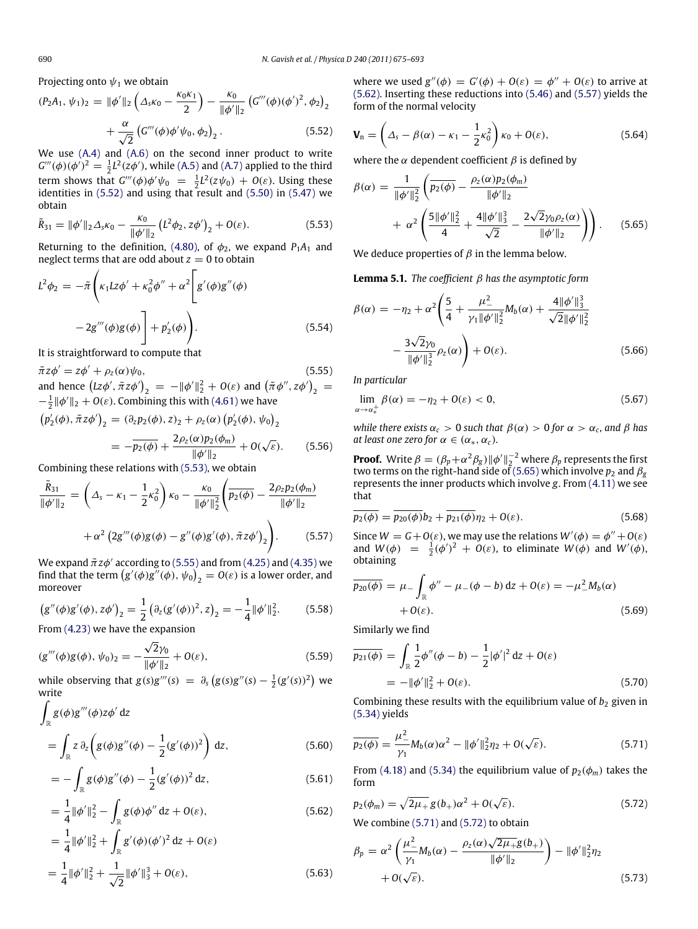Projecting onto  $\psi_1$  we obtain

$$
(P_2A_1, \psi_1)_2 = \|\phi'\|_2 \left(\Delta_s \kappa_0 - \frac{\kappa_0 \kappa_1}{2}\right) - \frac{\kappa_0}{\|\phi'\|_2} \left(G'''(\phi)(\phi')^2, \phi_2\right)_2
$$

$$
+ \frac{\alpha}{\sqrt{2}} \left(G'''(\phi)\phi'\psi_0, \phi_2\right)_2.
$$
(5.52)

We use [\(A.4\)](#page-17-7) and [\(A.6\)](#page-17-4) on the second inner product to write  $G'''(\phi)(\phi')^2 = \frac{1}{2}L^2(z\phi')$ , while [\(A.5\)](#page-17-8) and [\(A.7\)](#page-17-6) applied to the third term shows that  $G'''(\phi)\phi'\psi_0 = \frac{1}{2}L^2(z\psi_0) + O(\varepsilon)$ . Using these identities in  $(5.52)$  and using that result and  $(5.50)$  in  $(5.47)$  we obtain

$$
\tilde{R}_{31} = \|\phi'\|_2 \Delta_s \kappa_0 - \frac{\kappa_0}{\|\phi'\|_2} \left( L^2 \phi_2, z\phi' \right)_2 + O(\varepsilon).
$$
\n(5.53)

Returning to the definition, [\(4.80\),](#page-11-12) of  $\phi_2$ , we expand  $P_1A_1$  and neglect terms that are odd about  $z = 0$  to obtain

$$
L2\phi_2 = -\tilde{\pi}\left(\kappa_1 L z \phi' + \kappa_0^2 \phi'' + \alpha^2 \left[g'(\phi)g''(\phi) - 2g'''(\phi)g(\phi)\right] + p'_2(\phi)\right).
$$
\n(5.54)

It is straightforward to compute that

 $\tilde{\pi}z\phi' = z\phi' + \rho_z(\alpha)\psi_0,$ (5.55) and hence  $(Lz\phi', \tilde{\pi}z\phi')_2$  =  $- \|\phi'\|_2^2 + O(\varepsilon)$  and  $(\tilde{\pi}\phi'', z\phi')_2$  =  $-\frac{1}{2}$  || $\phi'$  ||<sub>2</sub> + *O*( $\varepsilon$ ). Combining this with [\(4.61\)](#page-10-7) we have

$$
(p'_2(\phi), \tilde{\pi}z\phi')_2 = (\partial_z p_2(\phi), z)_2 + \rho_z(\alpha) (p'_2(\phi), \psi_0)_2
$$
  
=  $-\overline{p_2(\phi)} + \frac{2\rho_z(\alpha)p_2(\phi_m)}{\|\phi'\|_2} + O(\sqrt{\varepsilon}).$  (5.56)

Combining these relations with [\(5.53\),](#page-15-3) we obtain

$$
\frac{\tilde{R}_{31}}{\|\phi'\|_2} = \left(\Delta_s - \kappa_1 - \frac{1}{2}\kappa_0^2\right)\kappa_0 - \frac{\kappa_0}{\|\phi'\|_2^2} \left(\overline{p_2(\phi)} - \frac{2\rho_z p_2(\phi_m)}{\|\phi'\|_2} + \alpha^2 \left(2g'''(\phi)g(\phi) - g''(\phi)g'(\phi), \tilde{\pi}z\phi'\right)_2\right). \tag{5.57}
$$

We expand  $\tilde{\pi}z\phi'$  according to [\(5.55\)](#page-15-4) and from [\(4.25\)](#page-8-7) and [\(4.35\)](#page-9-7) we find that the term  $\big(g'(\phi)g^{''}(\phi),\psi_0\big)_2=O(\varepsilon)$  is a lower order, and moreover

$$
(g''(\phi)g'(\phi), z\phi')_2 = \frac{1}{2} (\partial_z (g'(\phi))^2, z)_2 = -\frac{1}{4} ||\phi'||_2^2.
$$
 (5.58)

From [\(4.23\)](#page-8-10) we have the expansion √

$$
(g'''(\phi)g(\phi), \psi_0)_2 = -\frac{\sqrt{2}\gamma_0}{\|\phi'\|_2} + O(\varepsilon),\tag{5.59}
$$

while observing that  $g(s)g'''(s) = \partial_s (g(s)g''(s) - \frac{1}{2}(g'(s))^2)$  we write

$$
\int_{\mathbb{R}} g(\phi)g'''(\phi)z\phi' dz
$$
\n
$$
= \int_{\mathbb{R}} z \,\partial_z \left( g(\phi)g''(\phi) - \frac{1}{2}(g'(\phi))^2 \right) dz,
$$
\n(5.60)

$$
= -\int_{\mathbb{R}} g(\phi)g''(\phi) - \frac{1}{2}(g'(\phi))^2 dz,
$$
\n(5.61)

$$
= \frac{1}{4} ||\phi'||_2^2 - \int_{\mathbb{R}} g(\phi)\phi'' dz + O(\varepsilon),
$$
\n(5.62)

$$
= \frac{1}{4} ||\phi'||_2^2 + \int_{\mathbb{R}} g'(\phi)(\phi')^2 dz + O(\varepsilon)
$$
  
= 
$$
\frac{1}{4} ||\phi'||_2^2 + \frac{1}{\sqrt{2}} ||\phi'||_3^3 + O(\varepsilon),
$$
 (5.63)

where we used  $g''(\phi) = G'(\phi) + O(\varepsilon) = \phi'' + O(\varepsilon)$  to arrive at [\(5.62\).](#page-15-5) Inserting these reductions into [\(5.46\)](#page-14-3) and [\(5.57\)](#page-15-6) yields the form of the normal velocity

<span id="page-15-10"></span><span id="page-15-2"></span>
$$
\mathbf{V}_n = \left(\Delta_s - \beta(\alpha) - \kappa_1 - \frac{1}{2}\kappa_0^2\right)\kappa_0 + O(\varepsilon),\tag{5.64}
$$

where the  $\alpha$  dependent coefficient  $\beta$  is defined by

<span id="page-15-0"></span>
$$
\beta(\alpha) = \frac{1}{\|\phi'\|_2^2} \left( \overline{p_2(\phi)} - \frac{\rho_2(\alpha)p_2(\phi_m)}{\|\phi'\|_2} + \alpha^2 \left( \frac{5\|\phi'\|_2^2}{4} + \frac{4\|\phi'\|_3^3}{\sqrt{2}} - \frac{2\sqrt{2}\gamma_0\rho_2(\alpha)}{\|\phi'\|_2} \right) \right).
$$
 (5.65)

<span id="page-15-3"></span>We deduce properties of  $\beta$  in the lemma below.

**Lemma 5.1.** *The coefficient* β *has the asymptotic form*

<span id="page-15-1"></span>
$$
\beta(\alpha) = -\eta_2 + \alpha^2 \left( \frac{5}{4} + \frac{\mu_-^2}{\gamma_1 \|\phi'\|_2^2} M_b(\alpha) + \frac{4 \|\phi'\|_3^3}{\sqrt{2} \|\phi'\|_2^2} - \frac{3\sqrt{2}\gamma_0}{\|\phi'\|_2^3} \rho_2(\alpha) \right) + O(\varepsilon).
$$
\n(5.66)

<span id="page-15-4"></span>*In particular*

<span id="page-15-9"></span>
$$
\lim_{\alpha \to \alpha_*^+} \beta(\alpha) = -\eta_2 + O(\varepsilon) < 0,\tag{5.67}
$$

*while there exists*  $\alpha_c > 0$  *such that*  $\beta(\alpha) > 0$  *for*  $\alpha > \alpha_c$ *, and*  $\beta$  *has at least one zero for*  $\alpha \in (\alpha_*, \alpha_c)$ *.* 

**Proof.** Write  $\beta = (\beta_p + \alpha^2 \beta_g) ||\phi'||_2^{-2}$  where  $\beta_p$  represents the first two terms on the right-hand side of [\(5.65\)](#page-15-0) which involve  $p_2$  and  $\beta_g$ represents the inner products which involve *g*. From [\(4.11\)](#page-7-7) we see that

<span id="page-15-6"></span>
$$
\overline{p_2(\phi)} = \overline{p_{20}(\phi)} b_2 + \overline{p_{21}(\phi)} \eta_2 + O(\varepsilon).
$$
 (5.68)

Since  $W = G + O(\varepsilon)$ , we may use the relations  $W'(\phi) = \phi'' + O(\varepsilon)$ and  $W(\phi) = \frac{1}{2}(\phi')^2 + O(\varepsilon)$ , to eliminate  $W(\phi)$  and  $W'(\phi)$ , obtaining

$$
\overline{p_{20}(\phi)} = \mu_{-} \int_{\mathbb{R}} \phi'' - \mu_{-}(\phi - b) \, dz + O(\varepsilon) = -\mu_{-}^{2} M_{b}(\alpha) + O(\varepsilon).
$$
 (5.69)

Similarly we find

$$
\overline{p_{21}(\phi)} = \int_{\mathbb{R}} \frac{1}{2} \phi''(\phi - b) - \frac{1}{2} |\phi'|^2 dz + O(\varepsilon)
$$
  
=  $-\|\phi'\|_2^2 + O(\varepsilon).$  (5.70)

Combining these results with the equilibrium value of  $b_2$  given in [\(5.34\)](#page-13-9) yields

<span id="page-15-7"></span>
$$
\overline{p_2(\phi)} = \frac{\mu_-^2}{\gamma_1} M_b(\alpha) \alpha^2 - ||\phi'||_2^2 \eta_2 + O(\sqrt{\varepsilon}).
$$
\n(5.71)

From [\(4.18\)](#page-8-2) and [\(5.34\)](#page-13-9) the equilibrium value of  $p_2(\phi_m)$  takes the form

<span id="page-15-5"></span>
$$
p_2(\phi_m) = \sqrt{2\mu_+} \, g(b_+) \alpha^2 + O(\sqrt{\varepsilon}). \tag{5.72}
$$

We combine [\(5.71\)](#page-15-7) and [\(5.72\)](#page-15-8) to obtain

<span id="page-15-8"></span>
$$
\beta_p = \alpha^2 \left( \frac{\mu_-^2}{\gamma_1} M_b(\alpha) - \frac{\rho_2(\alpha) \sqrt{2\mu_+} g(b_+)}{\|\phi'\|_2} \right) - \|\phi'\|_2^2 \eta_2
$$
  
+ O(\sqrt{\varepsilon}). \tag{5.73}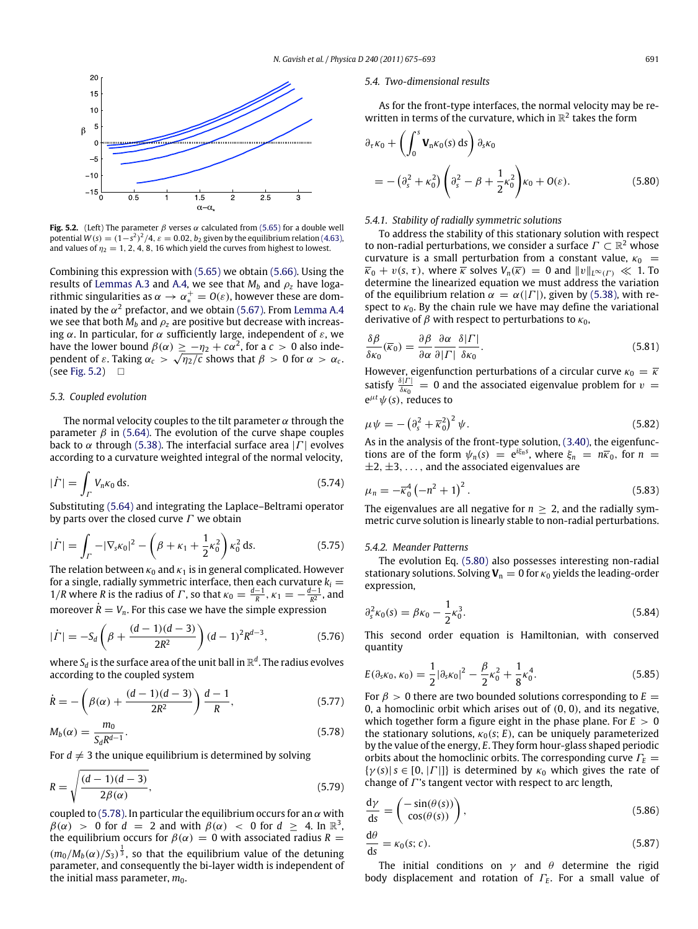<span id="page-16-1"></span>

**Fig. 5.2.** (Left) The parameter  $\beta$  verses  $\alpha$  calculated from [\(5.65\)](#page-15-0) for a double well potential  $W(s) = (1-s^2)^2/4$ ,  $\varepsilon = 0.02$ ,  $b_2$  given by the equilibrium relation [\(4.63\),](#page-10-5) and values of  $\eta_2 = 1, 2, 4, 8, 16$  which yield the curves from highest to lowest.

Combining this expression with [\(5.65\)](#page-15-0) we obtain [\(5.66\).](#page-15-1) Using the results of [Lemmas A.3](#page-17-5) and [A.4,](#page-17-9) we see that  $M_b$  and  $\rho_z$  have logarithmic singularities as  $\alpha \to \alpha_*^+ = O(\varepsilon)$ , however these are dominated by the  $\alpha^2$  prefactor, and we obtain [\(5.67\).](#page-15-9) From [Lemma A.4](#page-17-9) we see that both  $M_b$  and  $\rho_z$  are positive but decrease with increasing  $\alpha$ . In particular, for  $\alpha$  sufficiently large, independent of  $\varepsilon$ , we have the lower bound  $\beta(\alpha) \geq -\eta_2 + c\alpha^2$ , for a  $c > 0$  also independent of  $\varepsilon$ . Taking  $\alpha_c >$ √  $\eta_2/\overline{c}$  shows that  $\beta > 0$  for  $\alpha > \alpha_c$ . (see [Fig. 5.2\)](#page-16-1)  $\Box$ 

#### *5.3. Coupled evolution*

The normal velocity couples to the tilt parameter  $\alpha$  through the parameter  $\beta$  in [\(5.64\).](#page-15-10) The evolution of the curve shape couples back to  $\alpha$  through [\(5.38\).](#page-14-0) The interfacial surface area |  $\Gamma$ | evolves according to a curvature weighted integral of the normal velocity,

$$
|\dot{\varGamma}| = \int_{\varGamma} V_n \kappa_0 \, \mathrm{d}s. \tag{5.74}
$$

Substituting [\(5.64\)](#page-15-10) and integrating the Laplace–Beltrami operator by parts over the closed curve  $\Gamma$  we obtain

$$
|\dot{\Gamma}| = \int_{\Gamma} -|\nabla_{s}\kappa_{0}|^{2} - \left(\beta + \kappa_{1} + \frac{1}{2}\kappa_{0}^{2}\right)\kappa_{0}^{2} ds.
$$
 (5.75)

The relation between  $\kappa_0$  and  $\kappa_1$  is in general complicated. However for a single, radially symmetric interface, then each curvature  $k_i =$ 1/*R* where *R* is the radius of *Γ*, so that  $\kappa_0 = \frac{d-1}{R}$ ,  $\kappa_1 = -\frac{d-1}{R^2}$ , and moreover  $\dot{R} = V_n$ . For this case we have the simple expression

$$
|\dot{\Gamma}| = -S_d \left(\beta + \frac{(d-1)(d-3)}{2R^2}\right) (d-1)^2 R^{d-3},\tag{5.76}
$$

where  $S_d$  is the surface area of the unit ball in  $\mathbb{R}^d.$  The radius evolves according to the coupled system

$$
\dot{R} = -\left(\beta(\alpha) + \frac{(d-1)(d-3)}{2R^2}\right)\frac{d-1}{R},\tag{5.77}
$$

$$
M_b(\alpha) = \frac{m_0}{S_d R^{d-1}}.\tag{5.78}
$$

For  $d \neq 3$  the unique equilibrium is determined by solving

$$
R = \sqrt{\frac{(d-1)(d-3)}{2\beta(\alpha)}},
$$
\n(5.79)

coupled to [\(5.78\).](#page-16-2) In particular the equilibrium occurs for an  $\alpha$  with  $\beta(\alpha) > 0$  for  $d = 2$  and with  $\beta(\alpha) < 0$  for  $d \geq 4$ . In  $\mathbb{R}^3$ , the equilibrium occurs for  $\beta(\alpha) = 0$  with associated radius  $R =$  $(m_0/M_b(\alpha)/S_3)^{\frac{1}{3}}$ , so that the equilibrium value of the detuning parameter, and consequently the bi-layer width is independent of the initial mass parameter,  $m_0$ .

## *5.4. Two-dimensional results*

As for the front-type interfaces, the normal velocity may be rewritten in terms of the curvature, which in  $\mathbb{R}^2$  takes the form

<span id="page-16-3"></span>
$$
\partial_{\tau} \kappa_0 + \left( \int_0^s \mathbf{V}_{n} \kappa_0(s) ds \right) \partial_s \kappa_0
$$
  
=  $-(\partial_s^2 + \kappa_0^2) \left( \partial_s^2 - \beta + \frac{1}{2} \kappa_0^2 \right) \kappa_0 + O(\varepsilon).$  (5.80)

## *5.4.1. Stability of radially symmetric solutions*

To address the stability of this stationary solution with respect to non-radial perturbations, we consider a surface  $\Gamma \subset \mathbb{R}^2$  whose curvature is a small perturbation from a constant value,  $\kappa_0$  =  $\overline{\kappa}_0 + v(s, \tau)$ , where  $\overline{\kappa}$  solves  $V_n(\overline{\kappa}) = 0$  and  $||v||_{L^{\infty}(\Gamma)} \ll 1$ . To determine the linearized equation we must address the variation of the equilibrium relation  $\alpha = \alpha(|\Gamma|)$ , given by [\(5.38\),](#page-14-0) with respect to  $\kappa_0$ . By the chain rule we have may define the variational derivative of  $\beta$  with respect to perturbations to  $\kappa_0$ ,

$$
\frac{\delta \beta}{\delta \kappa_0}(\overline{\kappa}_0) = \frac{\partial \beta}{\partial \alpha} \frac{\partial \alpha}{\partial |\Gamma|} \frac{\delta |\Gamma|}{\delta \kappa_0}.
$$
\n(5.81)

However, eigenfunction perturbations of a circular curve  $\kappa_0 = \overline{\kappa}$ satisfy  $\frac{\delta|\Gamma|}{\delta\kappa_0} = 0$  and the associated eigenvalue problem for  $v =$  $e^{\mu t}\psi(s)$ , reduces to

$$
\mu \psi = -\left(\partial_s^2 + \overline{\kappa}_0^2\right)^2 \psi. \tag{5.82}
$$

As in the analysis of the front-type solution, [\(3.40\),](#page-7-2) the eigenfunctions are of the form  $\psi_n(s) = e^{i\xi_n s}$ , where  $\xi_n = n\overline{\kappa}_0$ , for  $n =$  $\pm 2, \pm 3, \ldots$ , and the associated eigenvalues are

$$
\mu_n = -\overline{\kappa}_0^4 \left( -n^2 + 1 \right)^2. \tag{5.83}
$$

The eigenvalues are all negative for  $n \geq 2$ , and the radially symmetric curve solution is linearly stable to non-radial perturbations.

#### *5.4.2. Meander Patterns*

The evolution Eq. [\(5.80\)](#page-16-3) also possesses interesting non-radial stationary solutions. Solving  $V_n = 0$  for  $\kappa_0$  yields the leading-order expression,

<span id="page-16-6"></span>
$$
\partial_s^2 \kappa_0(s) = \beta \kappa_0 - \frac{1}{2} \kappa_0^3. \tag{5.84}
$$

This second order equation is Hamiltonian, with conserved quantity

$$
E(\partial_s \kappa_0, \kappa_0) = \frac{1}{2} |\partial_s \kappa_0|^2 - \frac{\beta}{2} \kappa_0^2 + \frac{1}{8} \kappa_0^4.
$$
 (5.85)

<span id="page-16-2"></span>For  $\beta > 0$  there are two bounded solutions corresponding to  $E =$ 0, a homoclinic orbit which arises out of (0, 0), and its negative, which together form a figure eight in the phase plane. For  $E > 0$ the stationary solutions,  $\kappa_0(s; E)$ , can be uniquely parameterized by the value of the energy, *E*. They form hour-glass shaped periodic orbits about the homoclinic orbits. The corresponding curve Γ*<sup>E</sup>* =  $\{\gamma(s) | s \in [0, |\Gamma|] \}$  is determined by  $\kappa_0$  which gives the rate of change of  $\Gamma$ 's tangent vector with respect to arc length,

<span id="page-16-4"></span><span id="page-16-0"></span>
$$
\frac{d\gamma}{ds} = \begin{pmatrix} -\sin(\theta(s)) \\ \cos(\theta(s)) \end{pmatrix},\tag{5.86}
$$

<span id="page-16-5"></span>
$$
\frac{d\theta}{ds} = \kappa_0(s; c). \tag{5.87}
$$

The initial conditions on  $\gamma$  and  $\theta$  determine the rigid body displacement and rotation of Γ*<sup>E</sup>* . For a small value of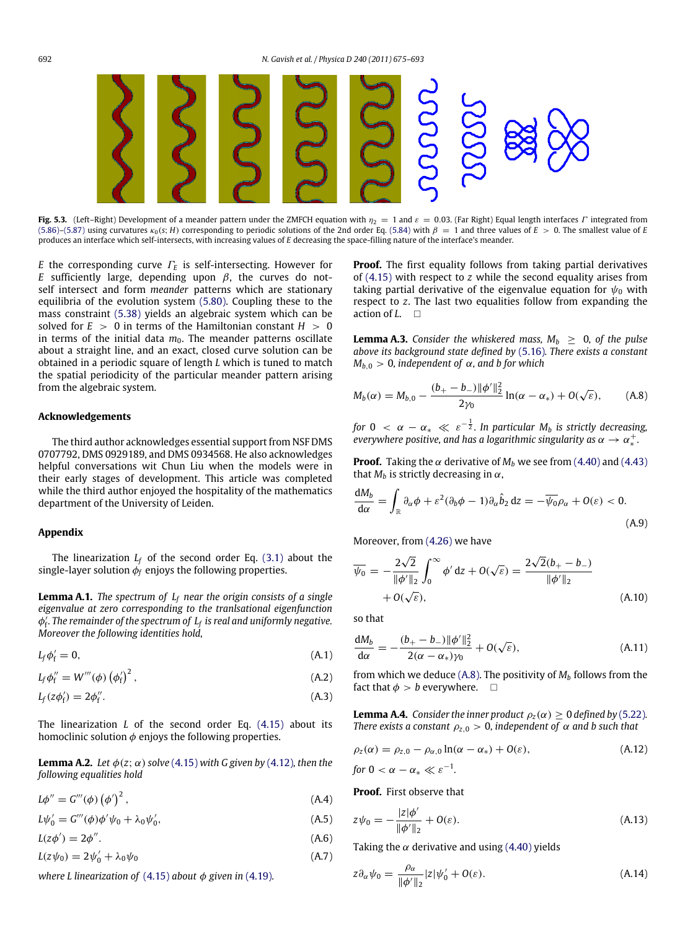<span id="page-17-0"></span>

**Fig. 5.3.** (Left–Right) Development of a meander pattern under the ZMFCH equation with  $\eta_2 = 1$  and  $\varepsilon = 0.03$ . (Far Right) Equal length interfaces Γ integrated from [\(5.86\)–](#page-16-4)[\(5.87\)](#page-16-5) using curvatures  $\kappa_0(s; H)$  corresponding to periodic solutions of the 2nd order Eq. [\(5.84\)](#page-16-6) with  $\beta = 1$  and three values of *E* > 0. The smallest value of *E* produces an interface which self-intersects, with increasing values of *E* decreasing the space-filling nature of the interface's meander.

*E* the corresponding curve Γ*<sup>E</sup>* is self-intersecting. However for *E* sufficiently large, depending upon  $\beta$ , the curves do notself intersect and form *meander* patterns which are stationary equilibria of the evolution system [\(5.80\).](#page-16-3) Coupling these to the mass constraint [\(5.38\)](#page-14-0) yields an algebraic system which can be solved for  $E > 0$  in terms of the Hamiltonian constant  $H > 0$ in terms of the initial data  $m_0$ . The meander patterns oscillate about a straight line, and an exact, closed curve solution can be obtained in a periodic square of length *L* which is tuned to match the spatial periodicity of the particular meander pattern arising from the algebraic system.

#### **Acknowledgements**

The third author acknowledges essential support from NSF DMS 0707792, DMS 0929189, and DMS 0934568. He also acknowledges helpful conversations wit Chun Liu when the models were in their early stages of development. This article was completed while the third author enjoyed the hospitality of the mathematics department of the University of Leiden.

## **Appendix**

The linearization  $L_f$  of the second order Eq. [\(3.1\)](#page-4-2) about the single-layer solution  $\phi_f$  enjoys the following properties.

<span id="page-17-1"></span>**Lemma A.1.** *The spectrum of L<sup>f</sup> near the origin consists of a single eigenvalue at zero corresponding to the tranlsational eigenfunction* φ ′ f *. The remainder of the spectrum of L<sup>f</sup> is real and uniformly negative. Moreover the following identities hold,*

$$
L_f \phi'_f = 0, \tag{A.1}
$$

 $L_{\text{f}}\phi_{\text{f}}''=W'''(\phi)\left(\phi_{\text{f}}'\right)^2$ ,  $(A.2)$ 

$$
L_f(z\phi'_f) = 2\phi''_f. \tag{A.3}
$$

The linearization *L* of the second order Eq. [\(4.15\)](#page-8-3) about its homoclinic solution  $\phi$  enjoys the following properties.

**Lemma A.2.** *Let*  $\phi(z; \alpha)$  *solve* [\(4.15\)](#page-8-3) *with G given by* [\(4.12\)](#page-8-11)*, then the following equalities hold*

$$
L\phi'' = G'''(\phi) (\phi')^2, \qquad (A.4)
$$

 $L\psi'_0 = G'''(\phi)\phi'\psi_0 + \lambda_0\psi'_0$  $(A.5)$ 

 $L(z\phi')=2\phi''$ .  $(A.6)$ 

 $L(z\psi_0) = 2\psi'_0 + \lambda_0\psi_0$  (A.7)

*where L linearization of*  $(4.15)$  *about*  $\phi$  *given in*  $(4.19)$ *.* 

**Proof.** The first equality follows from taking partial derivatives of [\(4.15\)](#page-8-3) with respect to *z* while the second equality arises from taking partial derivative of the eigenvalue equation for  $\psi_0$  with respect to *z*. The last two equalities follow from expanding the action of *L*.

<span id="page-17-5"></span>**Lemma A.3.** Consider the whiskered mass,  $M_b \geq 0$ , of the pulse *above its background state defined by* [\(5.16\)](#page-12-5)*. There exists a constant*  $M_{b,0} > 0$ , independent of  $\alpha$ , and b for which

<span id="page-17-10"></span>
$$
M_b(\alpha) = M_{b,0} - \frac{(b_+ - b_-) \|\phi'\|_2^2}{2\gamma_0} \ln(\alpha - \alpha_*) + O(\sqrt{\varepsilon}), \quad (A.8)
$$

for  $0 < \alpha - \alpha_* \ll \varepsilon^{-\frac{1}{2}}$ . In particular  $M_b$  is strictly decreasing,  $\overline{\mathit{everywhere}}$  positive, and has a logarithmic singularity as  $\alpha \to \alpha^+_*$ .

**Proof.** Taking the  $\alpha$  derivative of  $M_b$  we see from [\(4.40\)](#page-9-4) and [\(4.43\)](#page-9-5) that  $M_b$  is strictly decreasing in  $\alpha$ ,

$$
\frac{dM_b}{d\alpha} = \int_{\mathbb{R}} \partial_{\alpha} \phi + \varepsilon^2 (\partial_b \phi - 1) \partial_{\alpha} \hat{b}_2 \, dz = -\overline{\psi_0} \rho_{\alpha} + O(\varepsilon) < 0. \tag{A.9}
$$

Moreover, from [\(4.26\)](#page-8-9) we have

$$
\overline{\psi_0} = -\frac{2\sqrt{2}}{\|\phi'\|_2} \int_0^\infty \phi' dz + O(\sqrt{\varepsilon}) = \frac{2\sqrt{2}(b_+ - b_-)}{\|\phi'\|_2}
$$
  
+ O(\sqrt{\varepsilon}), \qquad (A.10)

so that

$$
\frac{dM_b}{d\alpha} = -\frac{(b_+ - b_-)\|\phi'\|_2^2}{2(\alpha - \alpha_*)\gamma_0} + O(\sqrt{\varepsilon}),
$$
\n(A.11)

<span id="page-17-3"></span><span id="page-17-2"></span>from which we deduce  $(A, 8)$ . The positivity of  $M<sub>b</sub>$  follows from the fact that  $\phi > b$  everywhere.  $\Box$ 

<span id="page-17-9"></span>**Lemma A.4.** *Consider the inner product*  $\rho_z(\alpha) \geq 0$  *defined by* [\(5.22\)](#page-13-7). *There exists a constant*  $\rho_{z,0} > 0$ , *independent* of  $\alpha$  *and* b such that

<span id="page-17-11"></span>
$$
\rho_z(\alpha) = \rho_{z,0} - \rho_{\alpha,0} \ln(\alpha - \alpha_*) + O(\varepsilon), \qquad (A.12)
$$

*for*  $0 < \alpha - \alpha_* \ll \varepsilon^{-1}$ *.* 

<span id="page-17-7"></span>**Proof.** First observe that

<span id="page-17-8"></span>
$$
z\psi_0 = -\frac{|z|\phi'}{\|\phi'\|_2} + O(\varepsilon).
$$
 (A.13)

<span id="page-17-6"></span><span id="page-17-4"></span>Taking the  $\alpha$  derivative and using [\(4.40\)](#page-9-4) yields

$$
z\partial_{\alpha}\psi_0 = \frac{\rho_{\alpha}}{\|\phi'\|_2}|z|\psi'_0 + O(\varepsilon). \tag{A.14}
$$